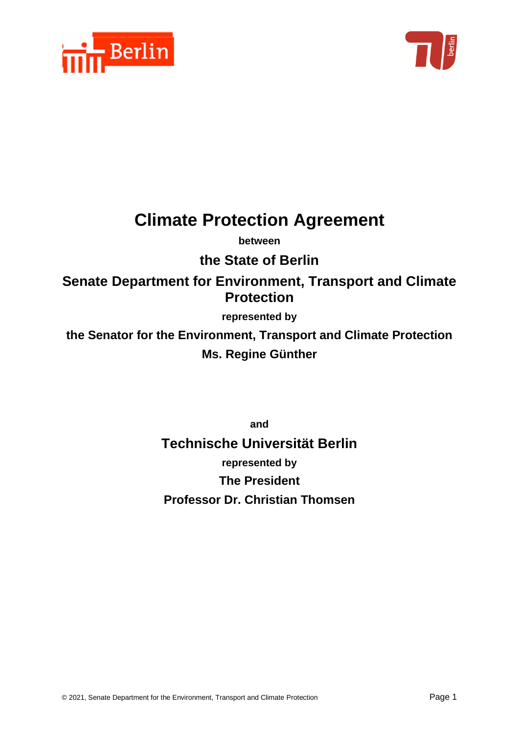



# **Climate Protection Agreement**

**between**

# **the State of Berlin**

**Senate Department for Environment, Transport and Climate Protection**

# **represented by**

**the Senator for the Environment, Transport and Climate Protection Ms. Regine Günther**

**and** 

**Technische Universität Berlin represented by The President Professor Dr. Christian Thomsen**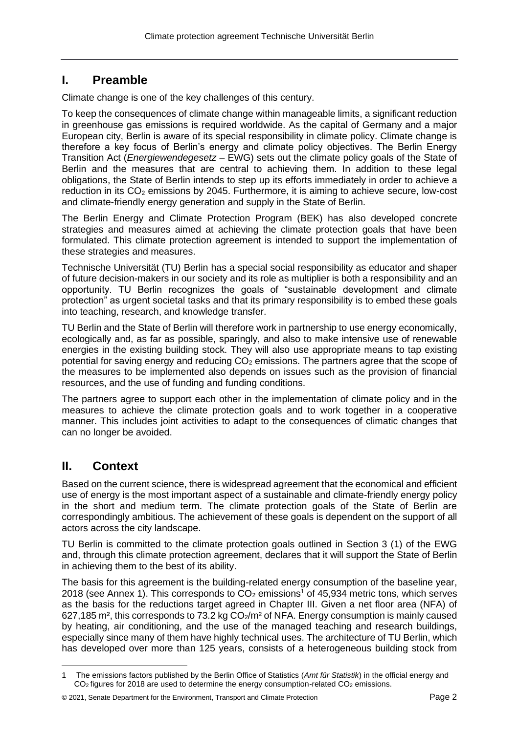# **I. Preamble**

Climate change is one of the key challenges of this century.

To keep the consequences of climate change within manageable limits, a significant reduction in greenhouse gas emissions is required worldwide. As the capital of Germany and a major European city, Berlin is aware of its special responsibility in climate policy. Climate change is therefore a key focus of Berlin's energy and climate policy objectives. The Berlin Energy Transition Act (*Energiewendegesetz* – EWG) sets out the climate policy goals of the State of Berlin and the measures that are central to achieving them. In addition to these legal obligations, the State of Berlin intends to step up its efforts immediately in order to achieve a reduction in its  $CO<sub>2</sub>$  emissions by 2045. Furthermore, it is aiming to achieve secure, low-cost and climate-friendly energy generation and supply in the State of Berlin.

The Berlin Energy and Climate Protection Program (BEK) has also developed concrete strategies and measures aimed at achieving the climate protection goals that have been formulated. This climate protection agreement is intended to support the implementation of these strategies and measures.

Technische Universität (TU) Berlin has a special social responsibility as educator and shaper of future decision-makers in our society and its role as multiplier is both a responsibility and an opportunity. TU Berlin recognizes the goals of "sustainable development and climate protection" as urgent societal tasks and that its primary responsibility is to embed these goals into teaching, research, and knowledge transfer.

TU Berlin and the State of Berlin will therefore work in partnership to use energy economically, ecologically and, as far as possible, sparingly, and also to make intensive use of renewable energies in the existing building stock. They will also use appropriate means to tap existing potential for saving energy and reducing  $CO<sub>2</sub>$  emissions. The partners agree that the scope of the measures to be implemented also depends on issues such as the provision of financial resources, and the use of funding and funding conditions.

The partners agree to support each other in the implementation of climate policy and in the measures to achieve the climate protection goals and to work together in a cooperative manner. This includes joint activities to adapt to the consequences of climatic changes that can no longer be avoided.

# **II. Context**

Based on the current science, there is widespread agreement that the economical and efficient use of energy is the most important aspect of a sustainable and climate-friendly energy policy in the short and medium term. The climate protection goals of the State of Berlin are correspondingly ambitious. The achievement of these goals is dependent on the support of all actors across the city landscape.

TU Berlin is committed to the climate protection goals outlined in Section 3 (1) of the EWG and, through this climate protection agreement, declares that it will support the State of Berlin in achieving them to the best of its ability.

The basis for this agreement is the building-related energy consumption of the baseline year, 2018 (see Annex 1). This corresponds to  $CO<sub>2</sub>$  emissions<sup>1</sup> of 45,934 metric tons, which serves as the basis for the reductions target agreed in Chapter III. Given a net floor area (NFA) of 627,185 m<sup>2</sup>, this corresponds to 73.2 kg  $CO<sub>2</sub>/m<sup>2</sup>$  of NFA. Energy consumption is mainly caused by heating, air conditioning, and the use of the managed teaching and research buildings, especially since many of them have highly technical uses. The architecture of TU Berlin, which has developed over more than 125 years, consists of a heterogeneous building stock from

<sup>1</sup> The emissions factors published by the Berlin Office of Statistics (*Amt für Statistik*) in the official energy and  $CO<sub>2</sub>$  figures for 2018 are used to determine the energy consumption-related  $CO<sub>2</sub>$  emissions.

<sup>© 2021,</sup> Senate Department for the Environment, Transport and Climate Protection Page 2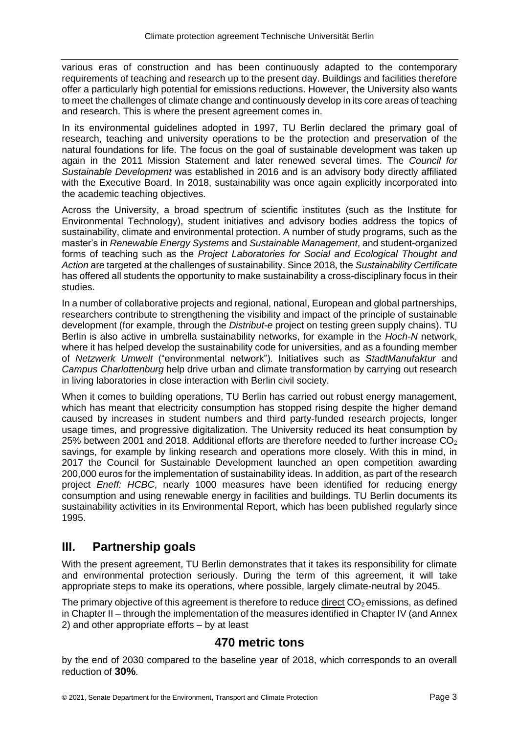various eras of construction and has been continuously adapted to the contemporary requirements of teaching and research up to the present day. Buildings and facilities therefore offer a particularly high potential for emissions reductions. However, the University also wants to meet the challenges of climate change and continuously develop in its core areas of teaching and research. This is where the present agreement comes in.

In its environmental guidelines adopted in 1997, TU Berlin declared the primary goal of research, teaching and university operations to be the protection and preservation of the natural foundations for life. The focus on the goal of sustainable development was taken up again in the 2011 Mission Statement and later renewed several times. The *Council for Sustainable Development* was established in 2016 and is an advisory body directly affiliated with the Executive Board. In 2018, sustainability was once again explicitly incorporated into the academic teaching objectives.

Across the University, a broad spectrum of scientific institutes (such as the Institute for Environmental Technology), student initiatives and advisory bodies address the topics of sustainability, climate and environmental protection. A number of study programs, such as the master's in *Renewable Energy Systems* and *Sustainable Management*, and student-organized forms of teaching such as the *Project Laboratories for Social and Ecological Thought and Action* are targeted at the challenges of sustainability. Since 2018, the *Sustainability Certificate* has offered all students the opportunity to make sustainability a cross-disciplinary focus in their studies.

In a number of collaborative projects and regional, national, European and global partnerships, researchers contribute to strengthening the visibility and impact of the principle of sustainable development (for example, through the *Distribut-e* project on testing green supply chains). TU Berlin is also active in umbrella sustainability networks, for example in the *Hoch-N* network, where it has helped develop the sustainability code for universities, and as a founding member of *Netzwerk Umwelt* ("environmental network"). Initiatives such as *StadtManufaktur* and *Campus Charlottenburg* help drive urban and climate transformation by carrying out research in living laboratories in close interaction with Berlin civil society.

When it comes to building operations, TU Berlin has carried out robust energy management, which has meant that electricity consumption has stopped rising despite the higher demand caused by increases in student numbers and third party-funded research projects, longer usage times, and progressive digitalization. The University reduced its heat consumption by 25% between 2001 and 2018. Additional efforts are therefore needed to further increase  $CO<sub>2</sub>$ savings, for example by linking research and operations more closely. With this in mind, in 2017 the Council for Sustainable Development launched an open competition awarding 200,000 euros for the implementation of sustainability ideas. In addition, as part of the research project *Eneff: HCBC*, nearly 1000 measures have been identified for reducing energy consumption and using renewable energy in facilities and buildings. TU Berlin documents its sustainability activities in its Environmental Report, which has been published regularly since 1995.

# **III. Partnership goals**

With the present agreement, TU Berlin demonstrates that it takes its responsibility for climate and environmental protection seriously. During the term of this agreement, it will take appropriate steps to make its operations, where possible, largely climate-neutral by 2045.

The primary objective of this agreement is therefore to reduce direct  $CO<sub>2</sub>$  emissions, as defined in Chapter II – through the implementation of the measures identified in Chapter IV (and Annex 2) and other appropriate efforts – by at least

# **470 metric tons**

by the end of 2030 compared to the baseline year of 2018, which corresponds to an overall reduction of **30%**.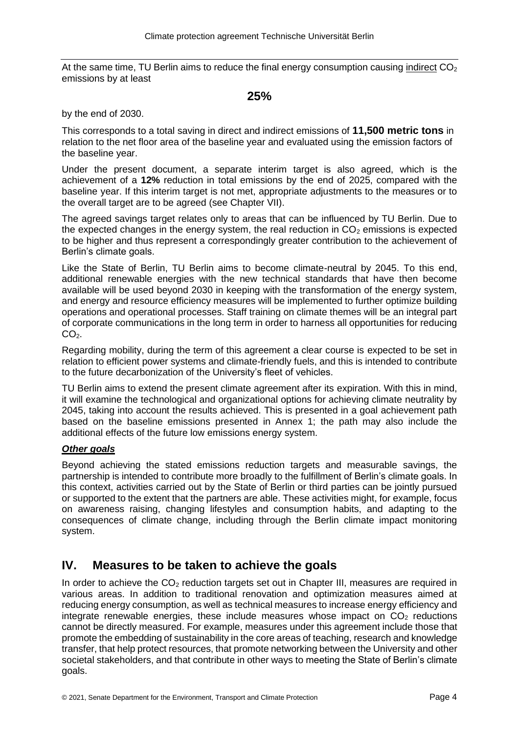At the same time, TU Berlin aims to reduce the final energy consumption causing indirect  $CO<sub>2</sub>$ emissions by at least

#### **25%**

by the end of 2030.

This corresponds to a total saving in direct and indirect emissions of **11,500 metric tons** in relation to the net floor area of the baseline year and evaluated using the emission factors of the baseline year.

Under the present document, a separate interim target is also agreed, which is the achievement of a **12%** reduction in total emissions by the end of 2025, compared with the baseline year. If this interim target is not met, appropriate adjustments to the measures or to the overall target are to be agreed (see Chapter VII).

The agreed savings target relates only to areas that can be influenced by TU Berlin. Due to the expected changes in the energy system, the real reduction in  $CO<sub>2</sub>$  emissions is expected to be higher and thus represent a correspondingly greater contribution to the achievement of Berlin's climate goals.

Like the State of Berlin, TU Berlin aims to become climate-neutral by 2045. To this end, additional renewable energies with the new technical standards that have then become available will be used beyond 2030 in keeping with the transformation of the energy system, and energy and resource efficiency measures will be implemented to further optimize building operations and operational processes. Staff training on climate themes will be an integral part of corporate communications in the long term in order to harness all opportunities for reducing  $CO<sub>2</sub>$ .

Regarding mobility, during the term of this agreement a clear course is expected to be set in relation to efficient power systems and climate-friendly fuels, and this is intended to contribute to the future decarbonization of the University's fleet of vehicles.

TU Berlin aims to extend the present climate agreement after its expiration. With this in mind, it will examine the technological and organizational options for achieving climate neutrality by 2045, taking into account the results achieved. This is presented in a goal achievement path based on the baseline emissions presented in Annex 1; the path may also include the additional effects of the future low emissions energy system.

#### *Other goals*

Beyond achieving the stated emissions reduction targets and measurable savings, the partnership is intended to contribute more broadly to the fulfillment of Berlin's climate goals. In this context, activities carried out by the State of Berlin or third parties can be jointly pursued or supported to the extent that the partners are able. These activities might, for example, focus on awareness raising, changing lifestyles and consumption habits, and adapting to the consequences of climate change, including through the Berlin climate impact monitoring system.

# **IV. Measures to be taken to achieve the goals**

In order to achieve the  $CO<sub>2</sub>$  reduction targets set out in Chapter III, measures are required in various areas. In addition to traditional renovation and optimization measures aimed at reducing energy consumption, as well as technical measures to increase energy efficiency and integrate renewable energies, these include measures whose impact on  $CO<sub>2</sub>$  reductions cannot be directly measured. For example, measures under this agreement include those that promote the embedding of sustainability in the core areas of teaching, research and knowledge transfer, that help protect resources, that promote networking between the University and other societal stakeholders, and that contribute in other ways to meeting the State of Berlin's climate goals.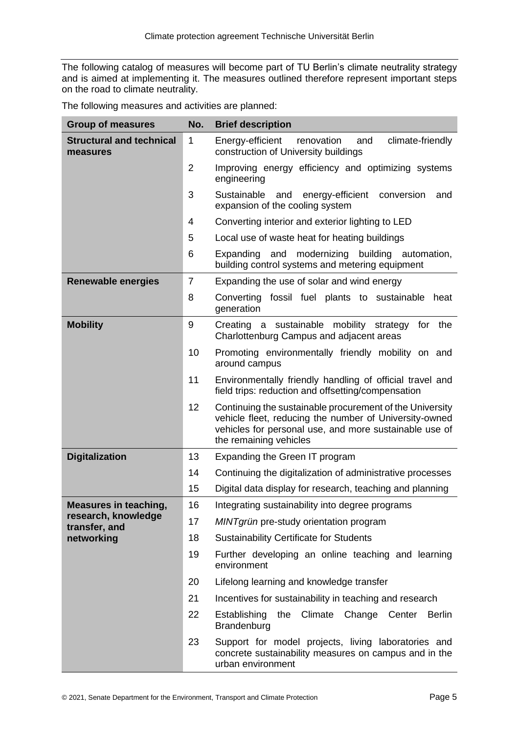The following catalog of measures will become part of TU Berlin's climate neutrality strategy and is aimed at implementing it. The measures outlined therefore represent important steps on the road to climate neutrality.

|  | The following measures and activities are planned: |  |  |
|--|----------------------------------------------------|--|--|
|  |                                                    |  |  |

| <b>Group of measures</b>                    | No.            | <b>Brief description</b>                                                                                                                                                                               |
|---------------------------------------------|----------------|--------------------------------------------------------------------------------------------------------------------------------------------------------------------------------------------------------|
| <b>Structural and technical</b><br>measures | 1              | climate-friendly<br>Energy-efficient<br>renovation<br>and<br>construction of University buildings                                                                                                      |
|                                             | $\overline{2}$ | Improving energy efficiency and optimizing systems<br>engineering                                                                                                                                      |
|                                             | 3              | Sustainable<br>energy-efficient<br>and<br>conversion<br>and<br>expansion of the cooling system                                                                                                         |
|                                             | 4              | Converting interior and exterior lighting to LED                                                                                                                                                       |
|                                             | 5              | Local use of waste heat for heating buildings                                                                                                                                                          |
|                                             | 6              | Expanding and modernizing<br>building automation,<br>building control systems and metering equipment                                                                                                   |
| <b>Renewable energies</b>                   | $\overline{7}$ | Expanding the use of solar and wind energy                                                                                                                                                             |
|                                             | 8              | Converting fossil fuel plants to sustainable<br>heat<br>generation                                                                                                                                     |
| <b>Mobility</b>                             | 9              | Creating a sustainable mobility strategy<br>the<br>for<br>Charlottenburg Campus and adjacent areas                                                                                                     |
|                                             | 10             | Promoting environmentally friendly mobility on and<br>around campus                                                                                                                                    |
|                                             | 11             | Environmentally friendly handling of official travel and<br>field trips: reduction and offsetting/compensation                                                                                         |
|                                             | 12             | Continuing the sustainable procurement of the University<br>vehicle fleet, reducing the number of University-owned<br>vehicles for personal use, and more sustainable use of<br>the remaining vehicles |
| <b>Digitalization</b>                       | 13             | Expanding the Green IT program                                                                                                                                                                         |
|                                             | 14             | Continuing the digitalization of administrative processes                                                                                                                                              |
|                                             | 15             | Digital data display for research, teaching and planning                                                                                                                                               |
| <b>Measures in teaching,</b>                | 16             | Integrating sustainability into degree programs                                                                                                                                                        |
| research, knowledge<br>transfer, and        | 17             | MINTgrün pre-study orientation program                                                                                                                                                                 |
| networking                                  | 18             | <b>Sustainability Certificate for Students</b>                                                                                                                                                         |
|                                             | 19             | Further developing an online teaching and learning<br>environment                                                                                                                                      |
|                                             | 20             | Lifelong learning and knowledge transfer                                                                                                                                                               |
|                                             | 21             | Incentives for sustainability in teaching and research                                                                                                                                                 |
|                                             | 22             | Establishing<br>the Climate Change Center Berlin<br>Brandenburg                                                                                                                                        |
|                                             | 23             | Support for model projects, living laboratories and<br>concrete sustainability measures on campus and in the<br>urban environment                                                                      |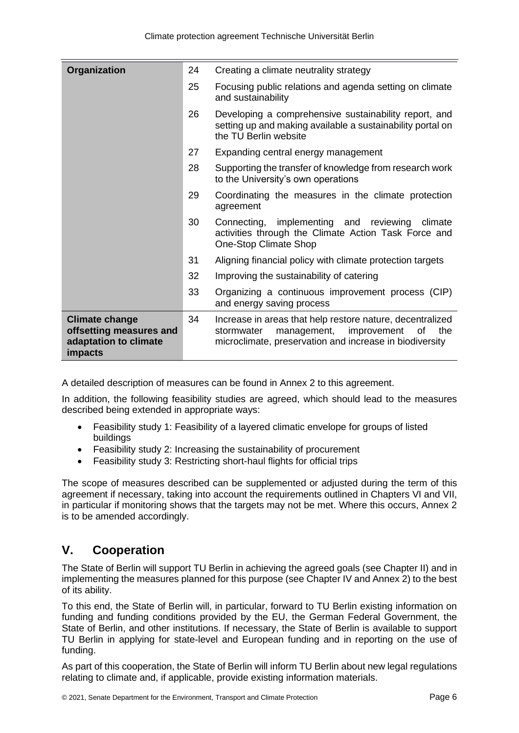| Organization                                                                         | 24 | Creating a climate neutrality strategy                                                                                                                                        |
|--------------------------------------------------------------------------------------|----|-------------------------------------------------------------------------------------------------------------------------------------------------------------------------------|
|                                                                                      | 25 | Focusing public relations and agenda setting on climate<br>and sustainability                                                                                                 |
|                                                                                      | 26 | Developing a comprehensive sustainability report, and<br>setting up and making available a sustainability portal on<br>the TU Berlin website                                  |
|                                                                                      | 27 | Expanding central energy management                                                                                                                                           |
|                                                                                      | 28 | Supporting the transfer of knowledge from research work<br>to the University's own operations                                                                                 |
|                                                                                      | 29 | Coordinating the measures in the climate protection<br>agreement                                                                                                              |
|                                                                                      | 30 | Connecting, implementing and reviewing<br>climate<br>activities through the Climate Action Task Force and<br>One-Stop Climate Shop                                            |
|                                                                                      | 31 | Aligning financial policy with climate protection targets                                                                                                                     |
|                                                                                      | 32 | Improving the sustainability of catering                                                                                                                                      |
|                                                                                      | 33 | Organizing a continuous improvement process (CIP)<br>and energy saving process                                                                                                |
| <b>Climate change</b><br>offsetting measures and<br>adaptation to climate<br>impacts | 34 | Increase in areas that help restore nature, decentralized<br>management,<br>improvement<br>stormwater<br>οf<br>the<br>microclimate, preservation and increase in biodiversity |

A detailed description of measures can be found in Annex 2 to this agreement.

In addition, the following feasibility studies are agreed, which should lead to the measures described being extended in appropriate ways:

- Feasibility study 1: Feasibility of a layered climatic envelope for groups of listed buildings
- Feasibility study 2: Increasing the sustainability of procurement
- Feasibility study 3: Restricting short-haul flights for official trips

The scope of measures described can be supplemented or adjusted during the term of this agreement if necessary, taking into account the requirements outlined in Chapters VI and VII, in particular if monitoring shows that the targets may not be met. Where this occurs, Annex 2 is to be amended accordingly.

# **V. Cooperation**

The State of Berlin will support TU Berlin in achieving the agreed goals (see Chapter II) and in implementing the measures planned for this purpose (see Chapter IV and Annex 2) to the best of its ability.

To this end, the State of Berlin will, in particular, forward to TU Berlin existing information on funding and funding conditions provided by the EU, the German Federal Government, the State of Berlin, and other institutions. If necessary, the State of Berlin is available to support TU Berlin in applying for state-level and European funding and in reporting on the use of funding.

As part of this cooperation, the State of Berlin will inform TU Berlin about new legal regulations relating to climate and, if applicable, provide existing information materials.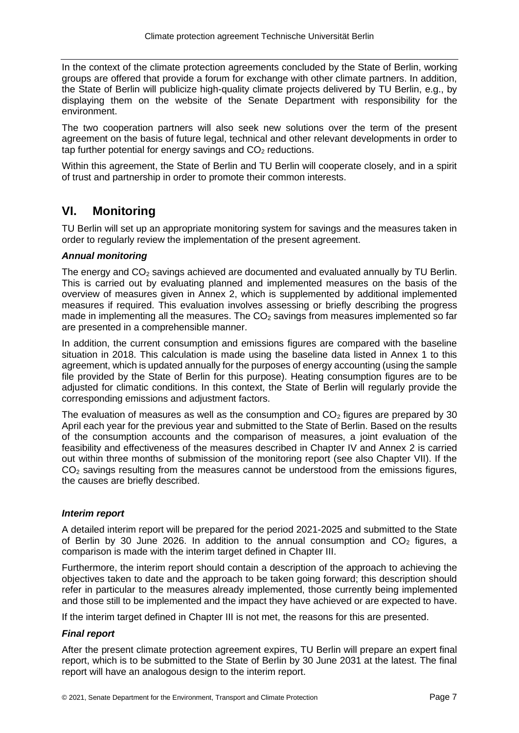In the context of the climate protection agreements concluded by the State of Berlin, working groups are offered that provide a forum for exchange with other climate partners. In addition, the State of Berlin will publicize high-quality climate projects delivered by TU Berlin, e.g., by displaying them on the website of the Senate Department with responsibility for the environment.

The two cooperation partners will also seek new solutions over the term of the present agreement on the basis of future legal, technical and other relevant developments in order to tap further potential for energy savings and  $CO<sub>2</sub>$  reductions.

Within this agreement, the State of Berlin and TU Berlin will cooperate closely, and in a spirit of trust and partnership in order to promote their common interests.

# **VI. Monitoring**

TU Berlin will set up an appropriate monitoring system for savings and the measures taken in order to regularly review the implementation of the present agreement.

#### *Annual monitoring*

The energy and  $CO<sub>2</sub>$  savings achieved are documented and evaluated annually by TU Berlin. This is carried out by evaluating planned and implemented measures on the basis of the overview of measures given in Annex 2, which is supplemented by additional implemented measures if required. This evaluation involves assessing or briefly describing the progress made in implementing all the measures. The  $CO<sub>2</sub>$  savings from measures implemented so far are presented in a comprehensible manner.

In addition, the current consumption and emissions figures are compared with the baseline situation in 2018. This calculation is made using the baseline data listed in Annex 1 to this agreement, which is updated annually for the purposes of energy accounting (using the sample file provided by the State of Berlin for this purpose). Heating consumption figures are to be adjusted for climatic conditions. In this context, the State of Berlin will regularly provide the corresponding emissions and adjustment factors.

The evaluation of measures as well as the consumption and  $CO<sub>2</sub>$  figures are prepared by 30 April each year for the previous year and submitted to the State of Berlin. Based on the results of the consumption accounts and the comparison of measures, a joint evaluation of the feasibility and effectiveness of the measures described in Chapter IV and Annex 2 is carried out within three months of submission of the monitoring report (see also Chapter VII). If the  $CO<sub>2</sub>$  savings resulting from the measures cannot be understood from the emissions figures, the causes are briefly described.

#### *Interim report*

A detailed interim report will be prepared for the period 2021-2025 and submitted to the State of Berlin by 30 June 2026. In addition to the annual consumption and  $CO<sub>2</sub>$  figures, a comparison is made with the interim target defined in Chapter III.

Furthermore, the interim report should contain a description of the approach to achieving the objectives taken to date and the approach to be taken going forward; this description should refer in particular to the measures already implemented, those currently being implemented and those still to be implemented and the impact they have achieved or are expected to have.

If the interim target defined in Chapter III is not met, the reasons for this are presented.

#### *Final report*

After the present climate protection agreement expires, TU Berlin will prepare an expert final report, which is to be submitted to the State of Berlin by 30 June 2031 at the latest. The final report will have an analogous design to the interim report.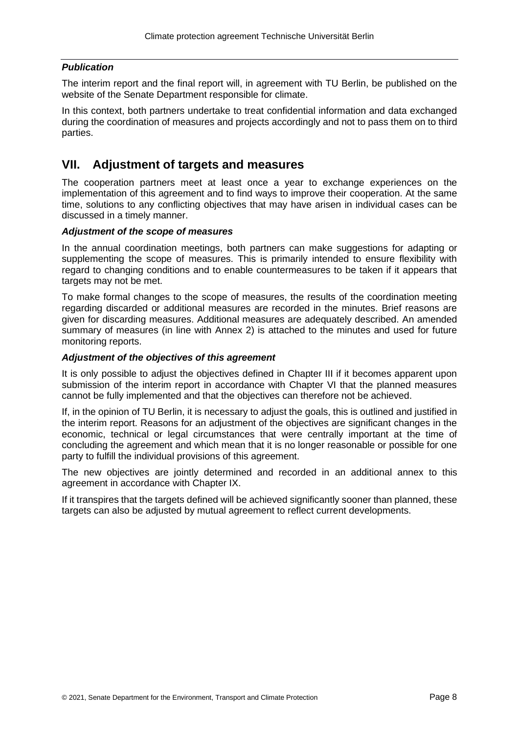#### *Publication*

The interim report and the final report will, in agreement with TU Berlin, be published on the website of the Senate Department responsible for climate.

In this context, both partners undertake to treat confidential information and data exchanged during the coordination of measures and projects accordingly and not to pass them on to third parties.

## **VII. Adjustment of targets and measures**

The cooperation partners meet at least once a year to exchange experiences on the implementation of this agreement and to find ways to improve their cooperation. At the same time, solutions to any conflicting objectives that may have arisen in individual cases can be discussed in a timely manner.

#### *Adjustment of the scope of measures*

In the annual coordination meetings, both partners can make suggestions for adapting or supplementing the scope of measures. This is primarily intended to ensure flexibility with regard to changing conditions and to enable countermeasures to be taken if it appears that targets may not be met.

To make formal changes to the scope of measures, the results of the coordination meeting regarding discarded or additional measures are recorded in the minutes. Brief reasons are given for discarding measures. Additional measures are adequately described. An amended summary of measures (in line with Annex 2) is attached to the minutes and used for future monitoring reports.

#### *Adjustment of the objectives of this agreement*

It is only possible to adjust the objectives defined in Chapter III if it becomes apparent upon submission of the interim report in accordance with Chapter VI that the planned measures cannot be fully implemented and that the objectives can therefore not be achieved.

If, in the opinion of TU Berlin, it is necessary to adjust the goals, this is outlined and justified in the interim report. Reasons for an adjustment of the objectives are significant changes in the economic, technical or legal circumstances that were centrally important at the time of concluding the agreement and which mean that it is no longer reasonable or possible for one party to fulfill the individual provisions of this agreement.

The new objectives are jointly determined and recorded in an additional annex to this agreement in accordance with Chapter IX.

If it transpires that the targets defined will be achieved significantly sooner than planned, these targets can also be adjusted by mutual agreement to reflect current developments.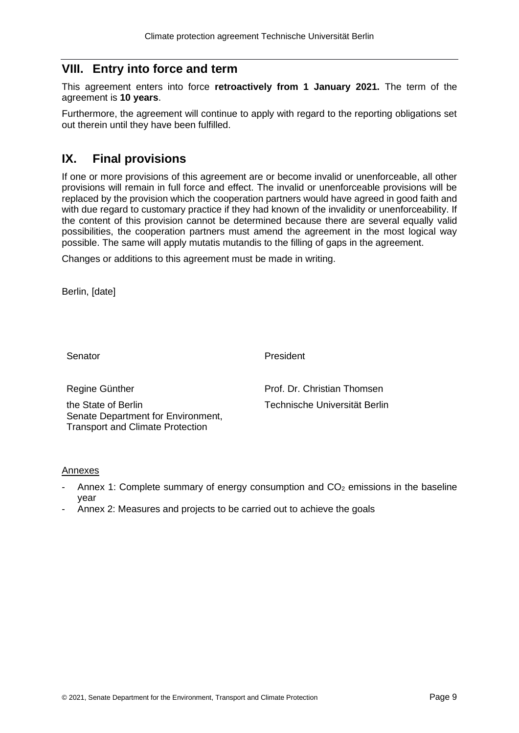# **VIII. Entry into force and term**

This agreement enters into force **retroactively from 1 January 2021.** The term of the agreement is **10 years**.

Furthermore, the agreement will continue to apply with regard to the reporting obligations set out therein until they have been fulfilled.

# **IX. Final provisions**

If one or more provisions of this agreement are or become invalid or unenforceable, all other provisions will remain in full force and effect. The invalid or unenforceable provisions will be replaced by the provision which the cooperation partners would have agreed in good faith and with due regard to customary practice if they had known of the invalidity or unenforceability. If the content of this provision cannot be determined because there are several equally valid possibilities, the cooperation partners must amend the agreement in the most logical way possible. The same will apply mutatis mutandis to the filling of gaps in the agreement.

Changes or additions to this agreement must be made in writing.

Berlin, [date]

**Senator** 

President

Regine Günther

the State of Berlin Senate Department for Environment, Transport and Climate Protection

Prof. Dr. Christian Thomsen Technische Universität Berlin

#### Annexes

- Annex 1: Complete summary of energy consumption and  $CO<sub>2</sub>$  emissions in the baseline year
- Annex 2: Measures and projects to be carried out to achieve the goals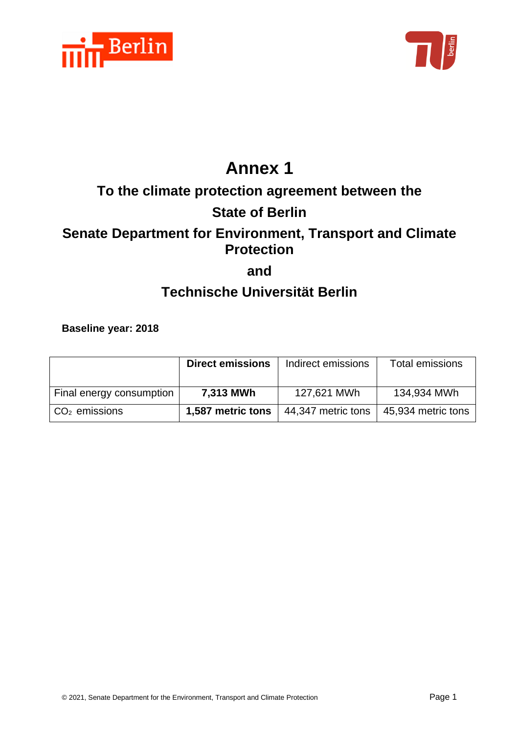



# **Annex 1**

# **To the climate protection agreement between the**

# **State of Berlin**

# **Senate Department for Environment, Transport and Climate Protection**

**and**

# **Technische Universität Berlin**

**Baseline year: 2018**

|                                   | <b>Direct emissions</b> | Indirect emissions | Total emissions    |
|-----------------------------------|-------------------------|--------------------|--------------------|
| Final energy consumption          | 7,313 MWh               | 127,621 MWh        | 134,934 MWh        |
| $\vert$ CO <sub>2</sub> emissions | 1,587 metric tons       | 44,347 metric tons | 45,934 metric tons |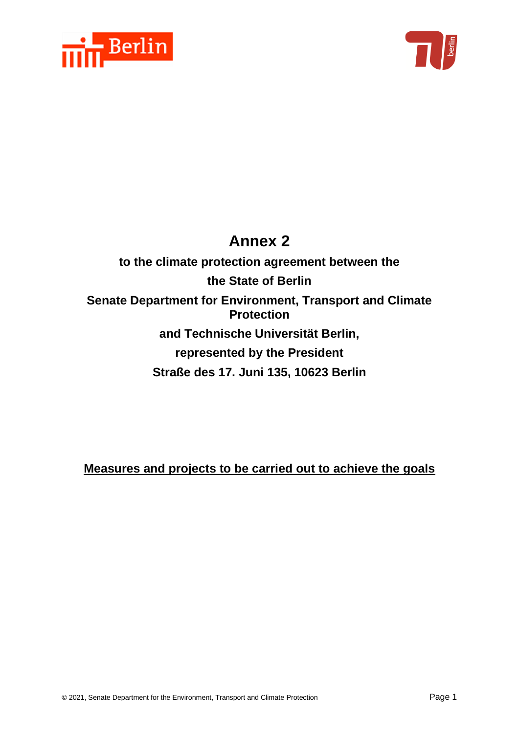



# **Annex 2**

**to the climate protection agreement between the the State of Berlin Senate Department for Environment, Transport and Climate Protection and Technische Universität Berlin, represented by the President Straße des 17. Juni 135, 10623 Berlin**

**Measures and projects to be carried out to achieve the goals**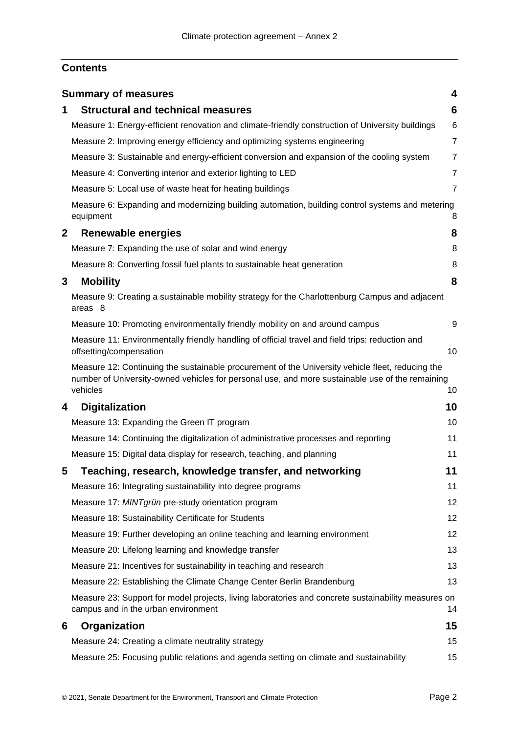# **Contents**

|              | <b>Summary of measures</b>                                                                                                                                                                                      | 4              |
|--------------|-----------------------------------------------------------------------------------------------------------------------------------------------------------------------------------------------------------------|----------------|
| 1            | <b>Structural and technical measures</b>                                                                                                                                                                        | 6              |
|              | Measure 1: Energy-efficient renovation and climate-friendly construction of University buildings                                                                                                                | 6              |
|              | Measure 2: Improving energy efficiency and optimizing systems engineering                                                                                                                                       | $\overline{7}$ |
|              | Measure 3: Sustainable and energy-efficient conversion and expansion of the cooling system                                                                                                                      | $\overline{7}$ |
|              | Measure 4: Converting interior and exterior lighting to LED                                                                                                                                                     | $\overline{7}$ |
|              | Measure 5: Local use of waste heat for heating buildings                                                                                                                                                        | $\overline{7}$ |
|              | Measure 6: Expanding and modernizing building automation, building control systems and metering<br>equipment                                                                                                    | 8              |
| $\mathbf{2}$ | Renewable energies                                                                                                                                                                                              | 8              |
|              | Measure 7: Expanding the use of solar and wind energy                                                                                                                                                           | 8              |
|              | Measure 8: Converting fossil fuel plants to sustainable heat generation                                                                                                                                         | 8              |
| 3            | <b>Mobility</b>                                                                                                                                                                                                 | 8              |
|              | Measure 9: Creating a sustainable mobility strategy for the Charlottenburg Campus and adjacent<br>areas 8                                                                                                       |                |
|              | Measure 10: Promoting environmentally friendly mobility on and around campus                                                                                                                                    | 9              |
|              | Measure 11: Environmentally friendly handling of official travel and field trips: reduction and<br>offsetting/compensation                                                                                      | 10             |
|              | Measure 12: Continuing the sustainable procurement of the University vehicle fleet, reducing the<br>number of University-owned vehicles for personal use, and more sustainable use of the remaining<br>vehicles | 10             |
| 4            | <b>Digitalization</b>                                                                                                                                                                                           | 10             |
|              | Measure 13: Expanding the Green IT program                                                                                                                                                                      | 10             |
|              | Measure 14: Continuing the digitalization of administrative processes and reporting                                                                                                                             | 11             |
|              | Measure 15: Digital data display for research, teaching, and planning                                                                                                                                           | 11             |
| 5            | Teaching, research, knowledge transfer, and networking                                                                                                                                                          | 11             |
|              | Measure 16: Integrating sustainability into degree programs                                                                                                                                                     | 11             |
|              | Measure 17: MINTgrün pre-study orientation program                                                                                                                                                              | 12             |
|              | Measure 18: Sustainability Certificate for Students                                                                                                                                                             | 12             |
|              | Measure 19: Further developing an online teaching and learning environment                                                                                                                                      | 12             |
|              | Measure 20: Lifelong learning and knowledge transfer                                                                                                                                                            | 13             |
|              | Measure 21: Incentives for sustainability in teaching and research                                                                                                                                              | 13             |
|              | Measure 22: Establishing the Climate Change Center Berlin Brandenburg                                                                                                                                           | 13             |
|              | Measure 23: Support for model projects, living laboratories and concrete sustainability measures on<br>campus and in the urban environment                                                                      | 14             |
| 6            | Organization                                                                                                                                                                                                    | 15             |
|              | Measure 24: Creating a climate neutrality strategy                                                                                                                                                              | 15             |
|              | Measure 25: Focusing public relations and agenda setting on climate and sustainability                                                                                                                          | 15             |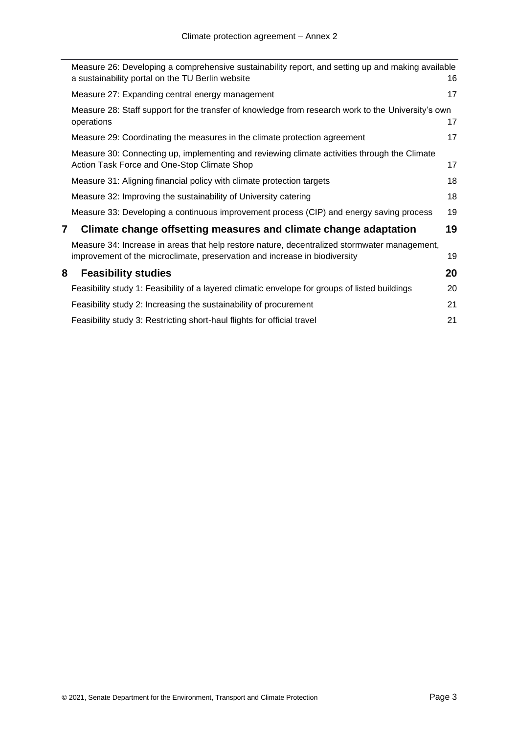|   | Measure 26: Developing a comprehensive sustainability report, and setting up and making available<br>a sustainability portal on the TU Berlin website                      | 16 |
|---|----------------------------------------------------------------------------------------------------------------------------------------------------------------------------|----|
|   | Measure 27: Expanding central energy management                                                                                                                            | 17 |
|   | Measure 28: Staff support for the transfer of knowledge from research work to the University's own<br>operations                                                           | 17 |
|   | Measure 29: Coordinating the measures in the climate protection agreement                                                                                                  | 17 |
|   | Measure 30: Connecting up, implementing and reviewing climate activities through the Climate<br>Action Task Force and One-Stop Climate Shop                                | 17 |
|   | Measure 31: Aligning financial policy with climate protection targets                                                                                                      | 18 |
|   | Measure 32: Improving the sustainability of University catering                                                                                                            | 18 |
|   | Measure 33: Developing a continuous improvement process (CIP) and energy saving process                                                                                    | 19 |
| 7 | Climate change offsetting measures and climate change adaptation                                                                                                           | 19 |
|   | Measure 34: Increase in areas that help restore nature, decentralized stormwater management,<br>improvement of the microclimate, preservation and increase in biodiversity | 19 |
| 8 | <b>Feasibility studies</b>                                                                                                                                                 | 20 |
|   | Feasibility study 1: Feasibility of a layered climatic envelope for groups of listed buildings                                                                             | 20 |
|   | Feasibility study 2: Increasing the sustainability of procurement                                                                                                          | 21 |
|   | Feasibility study 3: Restricting short-haul flights for official travel                                                                                                    | 21 |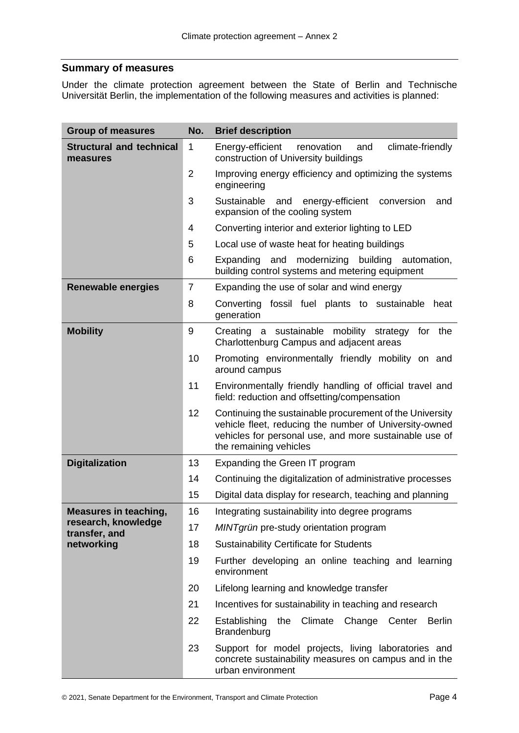#### <span id="page-13-0"></span>**Summary of measures**

Under the climate protection agreement between the State of Berlin and Technische Universität Berlin, the implementation of the following measures and activities is planned:

| <b>Group of measures</b>                    | No.            | <b>Brief description</b>                                                                                                                                                                               |
|---------------------------------------------|----------------|--------------------------------------------------------------------------------------------------------------------------------------------------------------------------------------------------------|
| <b>Structural and technical</b><br>measures | $\mathbf{1}$   | climate-friendly<br>Energy-efficient<br>renovation<br>and<br>construction of University buildings                                                                                                      |
|                                             | $\overline{2}$ | Improving energy efficiency and optimizing the systems<br>engineering                                                                                                                                  |
|                                             | 3              | Sustainable<br>and<br>energy-efficient<br>conversion<br>and<br>expansion of the cooling system                                                                                                         |
|                                             | 4              | Converting interior and exterior lighting to LED                                                                                                                                                       |
|                                             | 5              | Local use of waste heat for heating buildings                                                                                                                                                          |
|                                             | 6              | Expanding and modernizing building automation,<br>building control systems and metering equipment                                                                                                      |
| <b>Renewable energies</b>                   | $\overline{7}$ | Expanding the use of solar and wind energy                                                                                                                                                             |
|                                             | 8              | Converting fossil fuel plants to sustainable<br>heat<br>generation                                                                                                                                     |
| <b>Mobility</b>                             | 9              | Creating a sustainable mobility strategy<br>the<br>for<br>Charlottenburg Campus and adjacent areas                                                                                                     |
|                                             | 10             | Promoting environmentally friendly mobility on and<br>around campus                                                                                                                                    |
|                                             | 11             | Environmentally friendly handling of official travel and<br>field: reduction and offsetting/compensation                                                                                               |
|                                             | 12             | Continuing the sustainable procurement of the University<br>vehicle fleet, reducing the number of University-owned<br>vehicles for personal use, and more sustainable use of<br>the remaining vehicles |
| <b>Digitalization</b>                       | 13             | Expanding the Green IT program                                                                                                                                                                         |
|                                             | 14             | Continuing the digitalization of administrative processes                                                                                                                                              |
|                                             | 15             | Digital data display for research, teaching and planning                                                                                                                                               |
| <b>Measures in teaching,</b>                | 16             | Integrating sustainability into degree programs                                                                                                                                                        |
| research, knowledge<br>transfer, and        | 17             | MINTgrün pre-study orientation program                                                                                                                                                                 |
| networking                                  | 18             | <b>Sustainability Certificate for Students</b>                                                                                                                                                         |
|                                             | 19             | Further developing an online teaching and learning<br>environment                                                                                                                                      |
|                                             | 20             | Lifelong learning and knowledge transfer                                                                                                                                                               |
|                                             | 21             | Incentives for sustainability in teaching and research                                                                                                                                                 |
|                                             | 22             | Establishing<br>the Climate Change Center<br><b>Berlin</b><br>Brandenburg                                                                                                                              |
|                                             | 23             | Support for model projects, living laboratories and<br>concrete sustainability measures on campus and in the<br>urban environment                                                                      |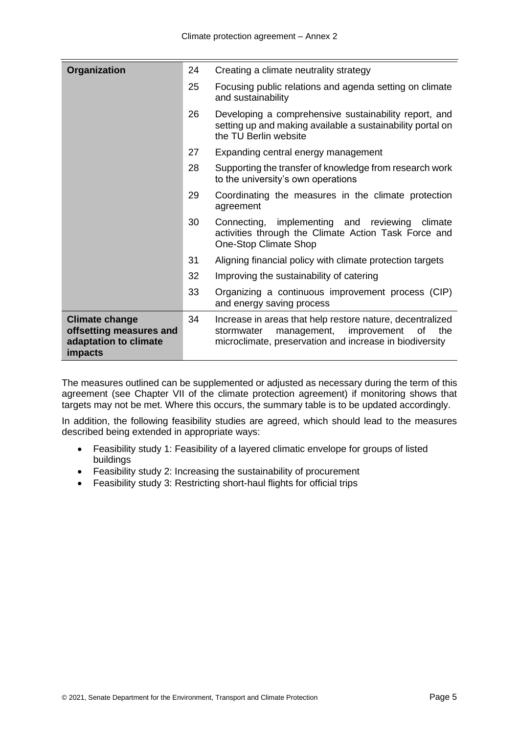| Organization                                                                         | 24 | Creating a climate neutrality strategy                                                                                                                                        |
|--------------------------------------------------------------------------------------|----|-------------------------------------------------------------------------------------------------------------------------------------------------------------------------------|
|                                                                                      | 25 | Focusing public relations and agenda setting on climate<br>and sustainability                                                                                                 |
|                                                                                      | 26 | Developing a comprehensive sustainability report, and<br>setting up and making available a sustainability portal on<br>the TU Berlin website                                  |
|                                                                                      | 27 | Expanding central energy management                                                                                                                                           |
|                                                                                      | 28 | Supporting the transfer of knowledge from research work<br>to the university's own operations                                                                                 |
|                                                                                      | 29 | Coordinating the measures in the climate protection<br>agreement                                                                                                              |
|                                                                                      | 30 | Connecting, implementing and reviewing<br>climate<br>activities through the Climate Action Task Force and<br>One-Stop Climate Shop                                            |
|                                                                                      | 31 | Aligning financial policy with climate protection targets                                                                                                                     |
|                                                                                      | 32 | Improving the sustainability of catering                                                                                                                                      |
|                                                                                      | 33 | Organizing a continuous improvement process (CIP)<br>and energy saving process                                                                                                |
| <b>Climate change</b><br>offsetting measures and<br>adaptation to climate<br>impacts | 34 | Increase in areas that help restore nature, decentralized<br>stormwater<br>management,<br>improvement<br>0f<br>the<br>microclimate, preservation and increase in biodiversity |

The measures outlined can be supplemented or adjusted as necessary during the term of this agreement (see Chapter VII of the climate protection agreement) if monitoring shows that targets may not be met. Where this occurs, the summary table is to be updated accordingly.

In addition, the following feasibility studies are agreed, which should lead to the measures described being extended in appropriate ways:

- Feasibility study 1: Feasibility of a layered climatic envelope for groups of listed buildings
- Feasibility study 2: Increasing the sustainability of procurement
- Feasibility study 3: Restricting short-haul flights for official trips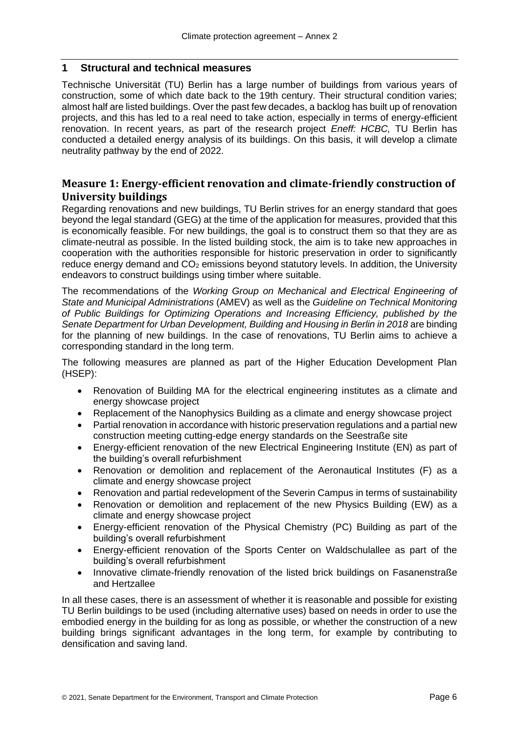#### <span id="page-15-0"></span>**1 Structural and technical measures**

Technische Universität (TU) Berlin has a large number of buildings from various years of construction, some of which date back to the 19th century. Their structural condition varies; almost half are listed buildings. Over the past few decades, a backlog has built up of renovation projects, and this has led to a real need to take action, especially in terms of energy-efficient renovation. In recent years, as part of the research project *Eneff: HCBC,* TU Berlin has conducted a detailed energy analysis of its buildings. On this basis, it will develop a climate neutrality pathway by the end of 2022.

#### <span id="page-15-1"></span>**Measure 1: Energy-efficient renovation and climate-friendly construction of University buildings**

Regarding renovations and new buildings, TU Berlin strives for an energy standard that goes beyond the legal standard (GEG) at the time of the application for measures, provided that this is economically feasible. For new buildings, the goal is to construct them so that they are as climate-neutral as possible. In the listed building stock, the aim is to take new approaches in cooperation with the authorities responsible for historic preservation in order to significantly reduce energy demand and  $CO<sub>2</sub>$  emissions beyond statutory levels. In addition, the University endeavors to construct buildings using timber where suitable.

The recommendations of the *Working Group on Mechanical and Electrical Engineering of State and Municipal Administrations* (AMEV) as well as the *Guideline on Technical Monitoring of Public Buildings for Optimizing Operations and Increasing Efficiency, published by the Senate Department for Urban Development, Building and Housing in Berlin in 2018* are binding for the planning of new buildings. In the case of renovations, TU Berlin aims to achieve a corresponding standard in the long term.

The following measures are planned as part of the Higher Education Development Plan (HSEP):

- Renovation of Building MA for the electrical engineering institutes as a climate and energy showcase project
- Replacement of the Nanophysics Building as a climate and energy showcase project
- Partial renovation in accordance with historic preservation regulations and a partial new construction meeting cutting-edge energy standards on the Seestraße site
- Energy-efficient renovation of the new Electrical Engineering Institute (EN) as part of the building's overall refurbishment
- Renovation or demolition and replacement of the Aeronautical Institutes (F) as a climate and energy showcase project
- Renovation and partial redevelopment of the Severin Campus in terms of sustainability
- Renovation or demolition and replacement of the new Physics Building (EW) as a climate and energy showcase project
- Energy-efficient renovation of the Physical Chemistry (PC) Building as part of the building's overall refurbishment
- Energy-efficient renovation of the Sports Center on Waldschulallee as part of the building's overall refurbishment
- Innovative climate-friendly renovation of the listed brick buildings on Fasanenstraße and Hertzallee

In all these cases, there is an assessment of whether it is reasonable and possible for existing TU Berlin buildings to be used (including alternative uses) based on needs in order to use the embodied energy in the building for as long as possible, or whether the construction of a new building brings significant advantages in the long term, for example by contributing to densification and saving land.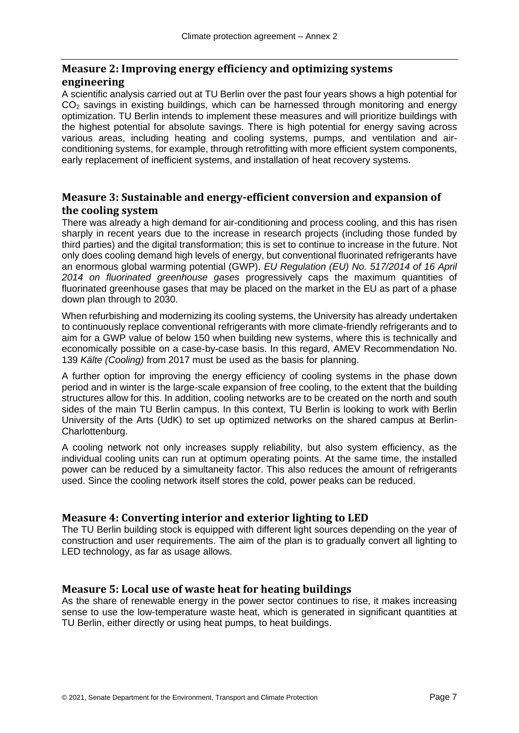#### <span id="page-16-0"></span>**Measure 2: Improving energy efficiency and optimizing systems engineering**

A scientific analysis carried out at TU Berlin over the past four years shows a high potential for CO<sub>2</sub> savings in existing buildings, which can be harnessed through monitoring and energy optimization. TU Berlin intends to implement these measures and will prioritize buildings with the highest potential for absolute savings. There is high potential for energy saving across various areas, including heating and cooling systems, pumps, and ventilation and airconditioning systems, for example, through retrofitting with more efficient system components, early replacement of inefficient systems, and installation of heat recovery systems.

### <span id="page-16-1"></span>**Measure 3: Sustainable and energy-efficient conversion and expansion of the cooling system**

There was already a high demand for air-conditioning and process cooling, and this has risen sharply in recent years due to the increase in research projects (including those funded by third parties) and the digital transformation; this is set to continue to increase in the future. Not only does cooling demand high levels of energy, but conventional fluorinated refrigerants have an enormous global warming potential (GWP). *EU Regulation (EU) No. 517/2014 of 16 April 2014 on fluorinated greenhouse gases* progressively caps the maximum quantities of fluorinated greenhouse gases that may be placed on the market in the EU as part of a phase down plan through to 2030.

When refurbishing and modernizing its cooling systems, the University has already undertaken to continuously replace conventional refrigerants with more climate-friendly refrigerants and to aim for a GWP value of below 150 when building new systems, where this is technically and economically possible on a case-by-case basis. In this regard, AMEV Recommendation No. 139 *Kälte (Cooling)* from 2017 must be used as the basis for planning.

A further option for improving the energy efficiency of cooling systems in the phase down period and in winter is the large-scale expansion of free cooling, to the extent that the building structures allow for this. In addition, cooling networks are to be created on the north and south sides of the main TU Berlin campus. In this context, TU Berlin is looking to work with Berlin University of the Arts (UdK) to set up optimized networks on the shared campus at Berlin-Charlottenburg.

A cooling network not only increases supply reliability, but also system efficiency, as the individual cooling units can run at optimum operating points. At the same time, the installed power can be reduced by a simultaneity factor. This also reduces the amount of refrigerants used. Since the cooling network itself stores the cold, power peaks can be reduced.

### <span id="page-16-2"></span>**Measure 4: Converting interior and exterior lighting to LED**

The TU Berlin building stock is equipped with different light sources depending on the year of construction and user requirements. The aim of the plan is to gradually convert all lighting to LED technology, as far as usage allows.

### <span id="page-16-3"></span>**Measure 5: Local use of waste heat for heating buildings**

As the share of renewable energy in the power sector continues to rise, it makes increasing sense to use the low-temperature waste heat, which is generated in significant quantities at TU Berlin, either directly or using heat pumps, to heat buildings.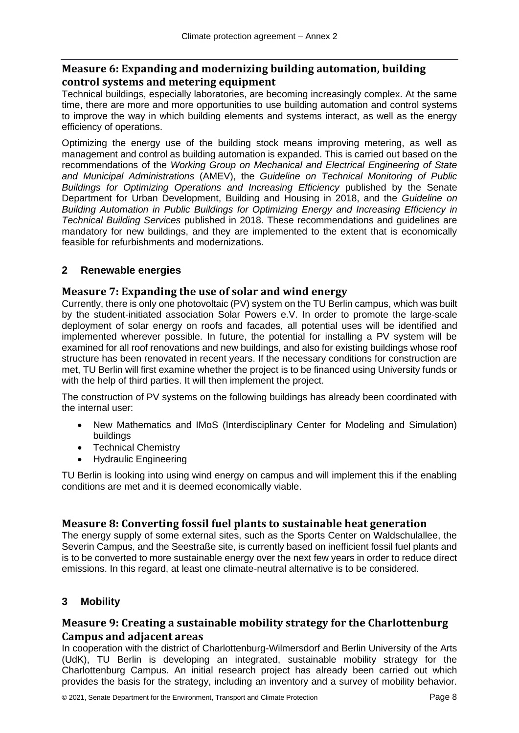#### <span id="page-17-0"></span>**Measure 6: Expanding and modernizing building automation, building control systems and metering equipment**

Technical buildings, especially laboratories, are becoming increasingly complex. At the same time, there are more and more opportunities to use building automation and control systems to improve the way in which building elements and systems interact, as well as the energy efficiency of operations.

Optimizing the energy use of the building stock means improving metering, as well as management and control as building automation is expanded. This is carried out based on the recommendations of the *Working Group on Mechanical and Electrical Engineering of State and Municipal Administrations* (AMEV), the *Guideline on Technical Monitoring of Public*  **Buildings for Optimizing Operations and Increasing Efficiency published by the Senate** Department for Urban Development, Building and Housing in 2018, and the *Guideline on Building Automation in Public Buildings for Optimizing Energy and Increasing Efficiency in Technical Building Services* published in 2018. These recommendations and guidelines are mandatory for new buildings, and they are implemented to the extent that is economically feasible for refurbishments and modernizations.

#### <span id="page-17-1"></span>**2 Renewable energies**

#### <span id="page-17-2"></span>**Measure 7: Expanding the use of solar and wind energy**

Currently, there is only one photovoltaic (PV) system on the TU Berlin campus, which was built by the student-initiated association Solar Powers e.V. In order to promote the large-scale deployment of solar energy on roofs and facades, all potential uses will be identified and implemented wherever possible. In future, the potential for installing a PV system will be examined for all roof renovations and new buildings, and also for existing buildings whose roof structure has been renovated in recent years. If the necessary conditions for construction are met, TU Berlin will first examine whether the project is to be financed using University funds or with the help of third parties. It will then implement the project.

The construction of PV systems on the following buildings has already been coordinated with the internal user:

- New Mathematics and IMoS (Interdisciplinary Center for Modeling and Simulation) buildings
- Technical Chemistry
- Hydraulic Engineering

TU Berlin is looking into using wind energy on campus and will implement this if the enabling conditions are met and it is deemed economically viable.

#### <span id="page-17-3"></span>**Measure 8: Converting fossil fuel plants to sustainable heat generation**

The energy supply of some external sites, such as the Sports Center on Waldschulallee, the Severin Campus, and the Seestraße site, is currently based on inefficient fossil fuel plants and is to be converted to more sustainable energy over the next few years in order to reduce direct emissions. In this regard, at least one climate-neutral alternative is to be considered.

#### <span id="page-17-4"></span>**3 Mobility**

#### <span id="page-17-5"></span>**Measure 9: Creating a sustainable mobility strategy for the Charlottenburg Campus and adjacent areas**

In cooperation with the district of Charlottenburg-Wilmersdorf and Berlin University of the Arts (UdK), TU Berlin is developing an integrated, sustainable mobility strategy for the Charlottenburg Campus. An initial research project has already been carried out which provides the basis for the strategy, including an inventory and a survey of mobility behavior.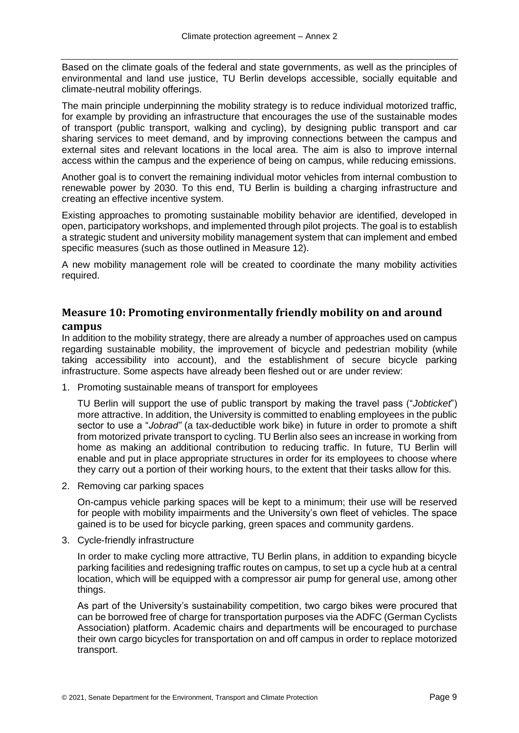Based on the climate goals of the federal and state governments, as well as the principles of environmental and land use justice, TU Berlin develops accessible, socially equitable and climate-neutral mobility offerings.

The main principle underpinning the mobility strategy is to reduce individual motorized traffic, for example by providing an infrastructure that encourages the use of the sustainable modes of transport (public transport, walking and cycling), by designing public transport and car sharing services to meet demand, and by improving connections between the campus and external sites and relevant locations in the local area. The aim is also to improve internal access within the campus and the experience of being on campus, while reducing emissions.

Another goal is to convert the remaining individual motor vehicles from internal combustion to renewable power by 2030. To this end, TU Berlin is building a charging infrastructure and creating an effective incentive system.

Existing approaches to promoting sustainable mobility behavior are identified, developed in open, participatory workshops, and implemented through pilot projects. The goal is to establish a strategic student and university mobility management system that can implement and embed specific measures (such as those outlined in Measure 12).

A new mobility management role will be created to coordinate the many mobility activities required.

#### <span id="page-18-0"></span>**Measure 10: Promoting environmentally friendly mobility on and around campus**

In addition to the mobility strategy, there are already a number of approaches used on campus regarding sustainable mobility, the improvement of bicycle and pedestrian mobility (while taking accessibility into account), and the establishment of secure bicycle parking infrastructure. Some aspects have already been fleshed out or are under review:

1. Promoting sustainable means of transport for employees

TU Berlin will support the use of public transport by making the travel pass ("*Jobticket*") more attractive. In addition, the University is committed to enabling employees in the public sector to use a "*Jobrad"* (a tax-deductible work bike) in future in order to promote a shift from motorized private transport to cycling. TU Berlin also sees an increase in working from home as making an additional contribution to reducing traffic. In future, TU Berlin will enable and put in place appropriate structures in order for its employees to choose where they carry out a portion of their working hours, to the extent that their tasks allow for this.

2. Removing car parking spaces

On-campus vehicle parking spaces will be kept to a minimum; their use will be reserved for people with mobility impairments and the University's own fleet of vehicles. The space gained is to be used for bicycle parking, green spaces and community gardens.

3. Cycle-friendly infrastructure

In order to make cycling more attractive, TU Berlin plans, in addition to expanding bicycle parking facilities and redesigning traffic routes on campus, to set up a cycle hub at a central location, which will be equipped with a compressor air pump for general use, among other things.

As part of the University's sustainability competition, two cargo bikes were procured that can be borrowed free of charge for transportation purposes via the ADFC (German Cyclists Association) platform. Academic chairs and departments will be encouraged to purchase their own cargo bicycles for transportation on and off campus in order to replace motorized transport.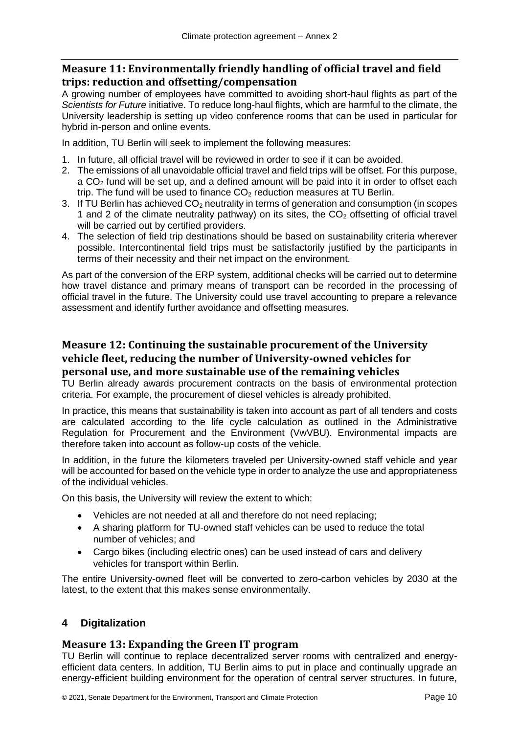#### <span id="page-19-0"></span>**Measure 11: Environmentally friendly handling of official travel and field trips: reduction and offsetting/compensation**

A growing number of employees have committed to avoiding short-haul flights as part of the *Scientists for Future* initiative. To reduce long-haul flights, which are harmful to the climate, the University leadership is setting up video conference rooms that can be used in particular for hybrid in-person and online events.

In addition, TU Berlin will seek to implement the following measures:

- 1. In future, all official travel will be reviewed in order to see if it can be avoided.
- 2. The emissions of all unavoidable official travel and field trips will be offset. For this purpose,  $a CO<sub>2</sub>$  fund will be set up, and a defined amount will be paid into it in order to offset each trip. The fund will be used to finance  $CO<sub>2</sub>$  reduction measures at TU Berlin.
- 3. If TU Berlin has achieved  $CO<sub>2</sub>$  neutrality in terms of generation and consumption (in scopes 1 and 2 of the climate neutrality pathway) on its sites, the  $CO<sub>2</sub>$  offsetting of official travel will be carried out by certified providers.
- 4. The selection of field trip destinations should be based on sustainability criteria wherever possible. Intercontinental field trips must be satisfactorily justified by the participants in terms of their necessity and their net impact on the environment.

As part of the conversion of the ERP system, additional checks will be carried out to determine how travel distance and primary means of transport can be recorded in the processing of official travel in the future. The University could use travel accounting to prepare a relevance assessment and identify further avoidance and offsetting measures.

### <span id="page-19-1"></span>**Measure 12: Continuing the sustainable procurement of the University vehicle fleet, reducing the number of University-owned vehicles for personal use, and more sustainable use of the remaining vehicles**

TU Berlin already awards procurement contracts on the basis of environmental protection criteria. For example, the procurement of diesel vehicles is already prohibited.

In practice, this means that sustainability is taken into account as part of all tenders and costs are calculated according to the life cycle calculation as outlined in the Administrative Regulation for Procurement and the Environment (VwVBU). Environmental impacts are therefore taken into account as follow-up costs of the vehicle.

In addition, in the future the kilometers traveled per University-owned staff vehicle and year will be accounted for based on the vehicle type in order to analyze the use and appropriateness of the individual vehicles.

On this basis, the University will review the extent to which:

- Vehicles are not needed at all and therefore do not need replacing;
- A sharing platform for TU-owned staff vehicles can be used to reduce the total number of vehicles; and
- Cargo bikes (including electric ones) can be used instead of cars and delivery vehicles for transport within Berlin.

The entire University-owned fleet will be converted to zero-carbon vehicles by 2030 at the latest, to the extent that this makes sense environmentally.

### <span id="page-19-2"></span>**4 Digitalization**

#### <span id="page-19-3"></span>**Measure 13: Expanding the Green IT program**

TU Berlin will continue to replace decentralized server rooms with centralized and energyefficient data centers. In addition, TU Berlin aims to put in place and continually upgrade an energy-efficient building environment for the operation of central server structures. In future,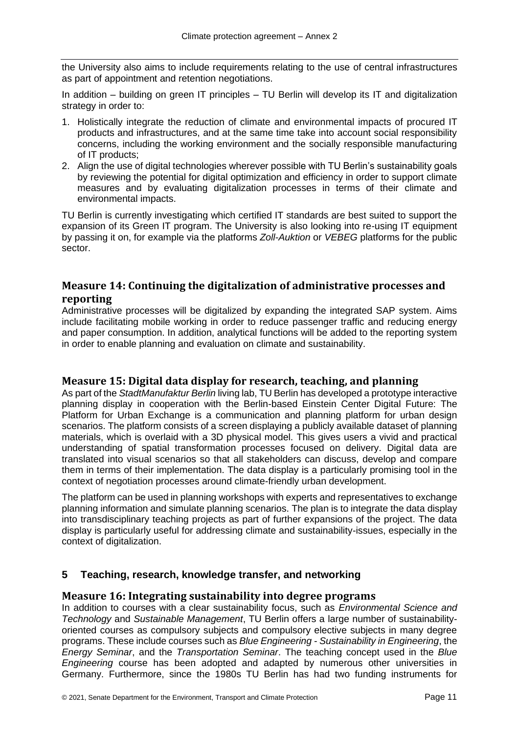the University also aims to include requirements relating to the use of central infrastructures as part of appointment and retention negotiations.

In addition – building on green IT principles – TU Berlin will develop its IT and digitalization strategy in order to:

- 1. Holistically integrate the reduction of climate and environmental impacts of procured IT products and infrastructures, and at the same time take into account social responsibility concerns, including the working environment and the socially responsible manufacturing of IT products;
- 2. Align the use of digital technologies wherever possible with TU Berlin's sustainability goals by reviewing the potential for digital optimization and efficiency in order to support climate measures and by evaluating digitalization processes in terms of their climate and environmental impacts.

TU Berlin is currently investigating which certified IT standards are best suited to support the expansion of its Green IT program. The University is also looking into re-using IT equipment by passing it on, for example via the platforms *Zoll-Auktion* or *VEBEG* platforms for the public sector.

#### <span id="page-20-0"></span>**Measure 14: Continuing the digitalization of administrative processes and reporting**

Administrative processes will be digitalized by expanding the integrated SAP system. Aims include facilitating mobile working in order to reduce passenger traffic and reducing energy and paper consumption. In addition, analytical functions will be added to the reporting system in order to enable planning and evaluation on climate and sustainability.

#### <span id="page-20-1"></span>**Measure 15: Digital data display for research, teaching, and planning**

As part of the *StadtManufaktur Berlin* living lab, TU Berlin has developed a prototype interactive planning display in cooperation with the Berlin-based Einstein Center Digital Future: The Platform for Urban Exchange is a communication and planning platform for urban design scenarios. The platform consists of a screen displaying a publicly available dataset of planning materials, which is overlaid with a 3D physical model. This gives users a vivid and practical understanding of spatial transformation processes focused on delivery. Digital data are translated into visual scenarios so that all stakeholders can discuss, develop and compare them in terms of their implementation. The data display is a particularly promising tool in the context of negotiation processes around climate-friendly urban development.

The platform can be used in planning workshops with experts and representatives to exchange planning information and simulate planning scenarios. The plan is to integrate the data display into transdisciplinary teaching projects as part of further expansions of the project. The data display is particularly useful for addressing climate and sustainability-issues, especially in the context of digitalization.

#### <span id="page-20-2"></span>**5 Teaching, research, knowledge transfer, and networking**

#### <span id="page-20-3"></span>**Measure 16: Integrating sustainability into degree programs**

In addition to courses with a clear sustainability focus, such as *Environmental Science and Technology* and *Sustainable Management*, TU Berlin offers a large number of sustainabilityoriented courses as compulsory subjects and compulsory elective subjects in many degree programs. These include courses such as *Blue Engineering - Sustainability in Engineering*, the *Energy Seminar*, and the *Transportation Seminar*. The teaching concept used in the *Blue Engineering* course has been adopted and adapted by numerous other universities in Germany. Furthermore, since the 1980s TU Berlin has had two funding instruments for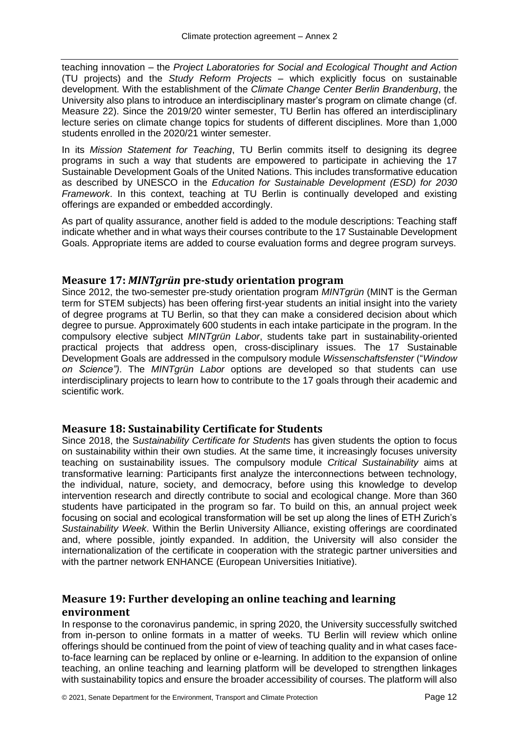teaching innovation – the *Project Laboratories for Social and Ecological Thought and Action* (TU projects) and the *Study Reform Projects* – which explicitly focus on sustainable development. With the establishment of the *Climate Change Center Berlin Brandenburg*, the University also plans to introduce an interdisciplinary master's program on climate change (cf. Measure 22). Since the 2019/20 winter semester, TU Berlin has offered an interdisciplinary lecture series on climate change topics for students of different disciplines. More than 1,000 students enrolled in the 2020/21 winter semester.

In its *Mission Statement for Teaching*, TU Berlin commits itself to designing its degree programs in such a way that students are empowered to participate in achieving the 17 Sustainable Development Goals of the United Nations. This includes transformative education as described by UNESCO in the *Education for Sustainable Development (ESD) for 2030 Framework*. In this context, teaching at TU Berlin is continually developed and existing offerings are expanded or embedded accordingly.

As part of quality assurance, another field is added to the module descriptions: Teaching staff indicate whether and in what ways their courses contribute to the 17 Sustainable Development Goals. Appropriate items are added to course evaluation forms and degree program surveys.

#### <span id="page-21-0"></span>**Measure 17:** *MINTgrün* **pre-study orientation program**

Since 2012, the two-semester pre-study orientation program *MINTgrün* (MINT is the German term for STEM subjects) has been offering first-year students an initial insight into the variety of degree programs at TU Berlin, so that they can make a considered decision about which degree to pursue. Approximately 600 students in each intake participate in the program. In the compulsory elective subject *MINTgrün Labor*, students take part in sustainability-oriented practical projects that address open, cross-disciplinary issues. The 17 Sustainable Development Goals are addressed in the compulsory module *Wissenschaftsfenster* ("*Window on Science")*. The *MINTgrün Labor* options are developed so that students can use interdisciplinary projects to learn how to contribute to the 17 goals through their academic and scientific work.

#### <span id="page-21-1"></span>**Measure 18: Sustainability Certificate for Students**

Since 2018, the S*ustainability Certificate for Students* has given students the option to focus on sustainability within their own studies. At the same time, it increasingly focuses university teaching on sustainability issues. The compulsory module *Critical Sustainability* aims at transformative learning: Participants first analyze the interconnections between technology, the individual, nature, society, and democracy, before using this knowledge to develop intervention research and directly contribute to social and ecological change. More than 360 students have participated in the program so far. To build on this, an annual project week focusing on social and ecological transformation will be set up along the lines of ETH Zurich's *Sustainability Week*. Within the Berlin University Alliance, existing offerings are coordinated and, where possible, jointly expanded. In addition, the University will also consider the internationalization of the certificate in cooperation with the strategic partner universities and with the partner network ENHANCE (European Universities Initiative).

#### <span id="page-21-2"></span>**Measure 19: Further developing an online teaching and learning environment**

In response to the coronavirus pandemic, in spring 2020, the University successfully switched from in-person to online formats in a matter of weeks. TU Berlin will review which online offerings should be continued from the point of view of teaching quality and in what cases faceto-face learning can be replaced by online or e-learning. In addition to the expansion of online teaching, an online teaching and learning platform will be developed to strengthen linkages with sustainability topics and ensure the broader accessibility of courses. The platform will also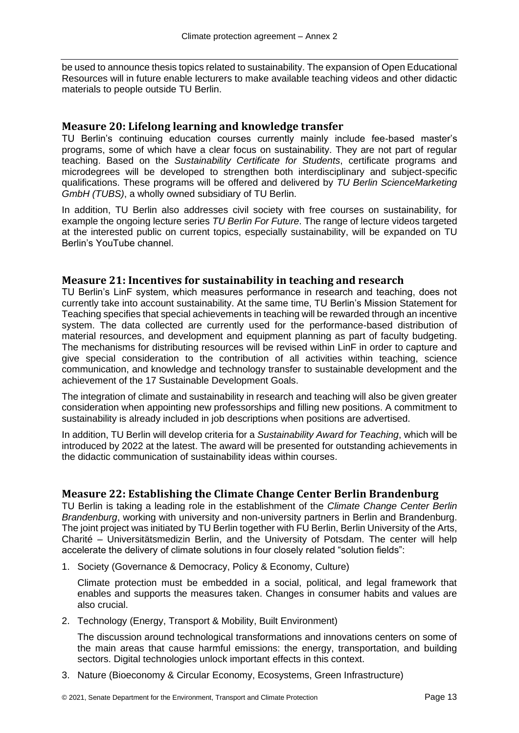be used to announce thesis topics related to sustainability. The expansion of Open Educational Resources will in future enable lecturers to make available teaching videos and other didactic materials to people outside TU Berlin.

#### <span id="page-22-0"></span>**Measure 20: Lifelong learning and knowledge transfer**

TU Berlin's continuing education courses currently mainly include fee-based master's programs, some of which have a clear focus on sustainability. They are not part of regular teaching. Based on the *Sustainability Certificate for Students*, certificate programs and microdegrees will be developed to strengthen both interdisciplinary and subject-specific qualifications. These programs will be offered and delivered by *TU Berlin ScienceMarketing GmbH (TUBS)*, a wholly owned subsidiary of TU Berlin.

In addition, TU Berlin also addresses civil society with free courses on sustainability, for example the ongoing lecture series *TU Berlin For Future*. The range of lecture videos targeted at the interested public on current topics, especially sustainability, will be expanded on TU Berlin's YouTube channel.

#### <span id="page-22-1"></span>**Measure 21: Incentives for sustainability in teaching and research**

TU Berlin's LinF system, which measures performance in research and teaching, does not currently take into account sustainability. At the same time, TU Berlin's Mission Statement for Teaching specifies that special achievements in teaching will be rewarded through an incentive system. The data collected are currently used for the performance-based distribution of material resources, and development and equipment planning as part of faculty budgeting. The mechanisms for distributing resources will be revised within LinF in order to capture and give special consideration to the contribution of all activities within teaching, science communication, and knowledge and technology transfer to sustainable development and the achievement of the 17 Sustainable Development Goals.

The integration of climate and sustainability in research and teaching will also be given greater consideration when appointing new professorships and filling new positions. A commitment to sustainability is already included in job descriptions when positions are advertised.

In addition, TU Berlin will develop criteria for a *Sustainability Award for Teaching*, which will be introduced by 2022 at the latest. The award will be presented for outstanding achievements in the didactic communication of sustainability ideas within courses.

#### <span id="page-22-2"></span>**Measure 22: Establishing the Climate Change Center Berlin Brandenburg**

TU Berlin is taking a leading role in the establishment of the *Climate Change Center Berlin Brandenburg*, working with university and non-university partners in Berlin and Brandenburg. The joint project was initiated by TU Berlin together with FU Berlin, Berlin University of the Arts, Charité – Universitätsmedizin Berlin, and the University of Potsdam. The center will help accelerate the delivery of climate solutions in four closely related "solution fields":

1. Society (Governance & Democracy, Policy & Economy, Culture)

Climate protection must be embedded in a social, political, and legal framework that enables and supports the measures taken. Changes in consumer habits and values are also crucial.

2. Technology (Energy, Transport & Mobility, Built Environment)

The discussion around technological transformations and innovations centers on some of the main areas that cause harmful emissions: the energy, transportation, and building sectors. Digital technologies unlock important effects in this context.

3. Nature (Bioeconomy & Circular Economy, Ecosystems, Green Infrastructure)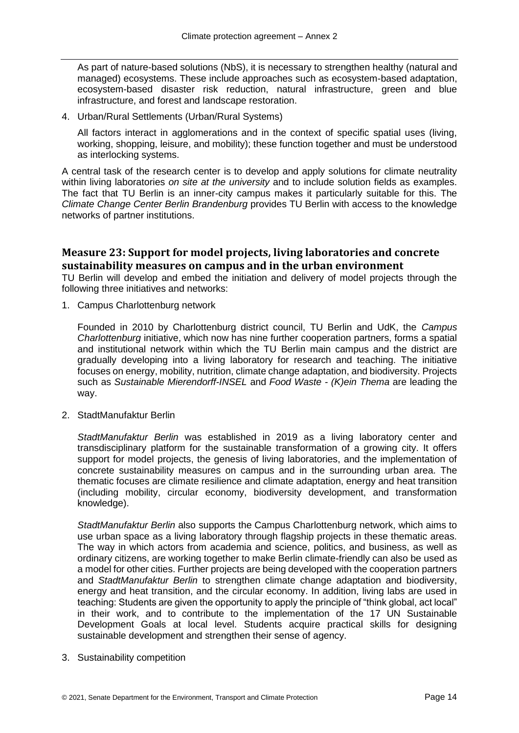As part of nature-based solutions (NbS), it is necessary to strengthen healthy (natural and managed) ecosystems. These include approaches such as ecosystem-based adaptation, ecosystem-based disaster risk reduction, natural infrastructure, green and blue infrastructure, and forest and landscape restoration.

4. Urban/Rural Settlements (Urban/Rural Systems)

All factors interact in agglomerations and in the context of specific spatial uses (living, working, shopping, leisure, and mobility); these function together and must be understood as interlocking systems.

A central task of the research center is to develop and apply solutions for climate neutrality within living laboratories *on site at the university* and to include solution fields as examples. The fact that TU Berlin is an inner-city campus makes it particularly suitable for this. The *Climate Change Center Berlin Brandenburg* provides TU Berlin with access to the knowledge networks of partner institutions.

#### <span id="page-23-0"></span>**Measure 23: Support for model projects, living laboratories and concrete sustainability measures on campus and in the urban environment**

TU Berlin will develop and embed the initiation and delivery of model projects through the following three initiatives and networks:

1. Campus Charlottenburg network

Founded in 2010 by Charlottenburg district council, TU Berlin and UdK, the *Campus Charlottenburg* initiative, which now has nine further cooperation partners, forms a spatial and institutional network within which the TU Berlin main campus and the district are gradually developing into a living laboratory for research and teaching. The initiative focuses on energy, mobility, nutrition, climate change adaptation, and biodiversity. Projects such as *Sustainable Mierendorff-INSEL* and *Food Waste - (K)ein Thema* are leading the way.

2. StadtManufaktur Berlin

*StadtManufaktur Berlin* was established in 2019 as a living laboratory center and transdisciplinary platform for the sustainable transformation of a growing city. It offers support for model projects, the genesis of living laboratories, and the implementation of concrete sustainability measures on campus and in the surrounding urban area. The thematic focuses are climate resilience and climate adaptation, energy and heat transition (including mobility, circular economy, biodiversity development, and transformation knowledge).

*StadtManufaktur Berlin* also supports the Campus Charlottenburg network, which aims to use urban space as a living laboratory through flagship projects in these thematic areas. The way in which actors from academia and science, politics, and business, as well as ordinary citizens, are working together to make Berlin climate-friendly can also be used as a model for other cities. Further projects are being developed with the cooperation partners and *StadtManufaktur Berlin* to strengthen climate change adaptation and biodiversity, energy and heat transition, and the circular economy. In addition, living labs are used in teaching: Students are given the opportunity to apply the principle of "think global, act local" in their work, and to contribute to the implementation of the 17 UN Sustainable Development Goals at local level. Students acquire practical skills for designing sustainable development and strengthen their sense of agency.

3. Sustainability competition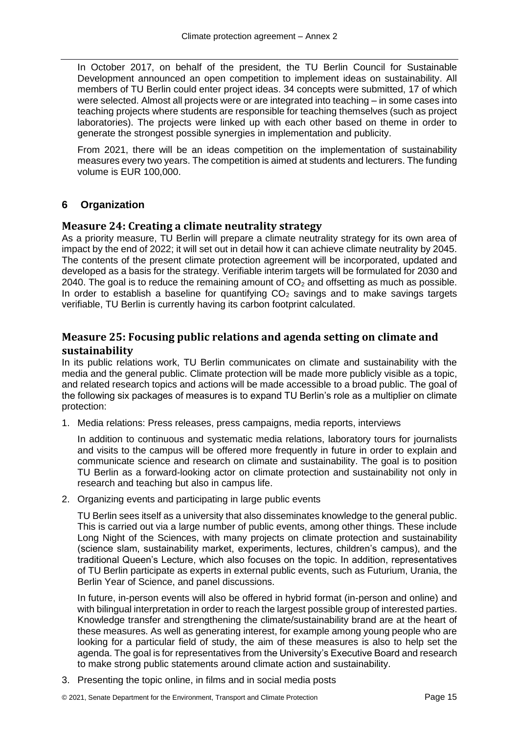In October 2017, on behalf of the president, the TU Berlin Council for Sustainable Development announced an open competition to implement ideas on sustainability. All members of TU Berlin could enter project ideas. 34 concepts were submitted, 17 of which were selected. Almost all projects were or are integrated into teaching – in some cases into teaching projects where students are responsible for teaching themselves (such as project laboratories). The projects were linked up with each other based on theme in order to generate the strongest possible synergies in implementation and publicity.

From 2021, there will be an ideas competition on the implementation of sustainability measures every two years. The competition is aimed at students and lecturers. The funding volume is EUR 100,000.

#### <span id="page-24-0"></span>**6 Organization**

#### <span id="page-24-1"></span>**Measure 24: Creating a climate neutrality strategy**

As a priority measure, TU Berlin will prepare a climate neutrality strategy for its own area of impact by the end of 2022; it will set out in detail how it can achieve climate neutrality by 2045. The contents of the present climate protection agreement will be incorporated, updated and developed as a basis for the strategy. Verifiable interim targets will be formulated for 2030 and 2040. The goal is to reduce the remaining amount of  $CO<sub>2</sub>$  and offsetting as much as possible. In order to establish a baseline for quantifying  $CO<sub>2</sub>$  savings and to make savings targets verifiable, TU Berlin is currently having its carbon footprint calculated.

#### <span id="page-24-2"></span>**Measure 25: Focusing public relations and agenda setting on climate and sustainability**

In its public relations work, TU Berlin communicates on climate and sustainability with the media and the general public. Climate protection will be made more publicly visible as a topic, and related research topics and actions will be made accessible to a broad public. The goal of the following six packages of measures is to expand TU Berlin's role as a multiplier on climate protection:

1. Media relations: Press releases, press campaigns, media reports, interviews

In addition to continuous and systematic media relations, laboratory tours for journalists and visits to the campus will be offered more frequently in future in order to explain and communicate science and research on climate and sustainability. The goal is to position TU Berlin as a forward-looking actor on climate protection and sustainability not only in research and teaching but also in campus life.

2. Organizing events and participating in large public events

TU Berlin sees itself as a university that also disseminates knowledge to the general public. This is carried out via a large number of public events, among other things. These include Long Night of the Sciences, with many projects on climate protection and sustainability (science slam, sustainability market, experiments, lectures, children's campus), and the traditional Queen's Lecture, which also focuses on the topic. In addition, representatives of TU Berlin participate as experts in external public events, such as Futurium, Urania, the Berlin Year of Science, and panel discussions.

In future, in-person events will also be offered in hybrid format (in-person and online) and with bilingual interpretation in order to reach the largest possible group of interested parties. Knowledge transfer and strengthening the climate/sustainability brand are at the heart of these measures. As well as generating interest, for example among young people who are looking for a particular field of study, the aim of these measures is also to help set the agenda. The goal is for representatives from the University's Executive Board and research to make strong public statements around climate action and sustainability.

3. Presenting the topic online, in films and in social media posts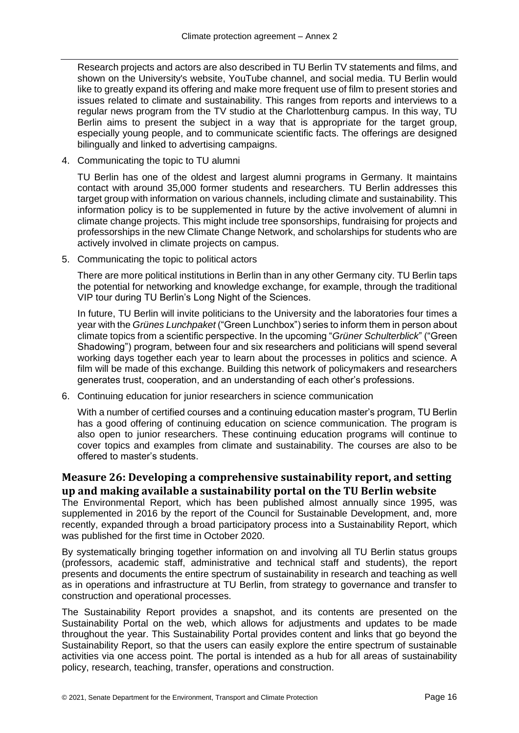Research projects and actors are also described in TU Berlin TV statements and films, and shown on the University's website, YouTube channel, and social media. TU Berlin would like to greatly expand its offering and make more frequent use of film to present stories and issues related to climate and sustainability. This ranges from reports and interviews to a regular news program from the TV studio at the Charlottenburg campus. In this way, TU Berlin aims to present the subject in a way that is appropriate for the target group, especially young people, and to communicate scientific facts. The offerings are designed bilingually and linked to advertising campaigns.

4. Communicating the topic to TU alumni

TU Berlin has one of the oldest and largest alumni programs in Germany. It maintains contact with around 35,000 former students and researchers. TU Berlin addresses this target group with information on various channels, including climate and sustainability. This information policy is to be supplemented in future by the active involvement of alumni in climate change projects. This might include tree sponsorships, fundraising for projects and professorships in the new Climate Change Network, and scholarships for students who are actively involved in climate projects on campus.

5. Communicating the topic to political actors

There are more political institutions in Berlin than in any other Germany city. TU Berlin taps the potential for networking and knowledge exchange, for example, through the traditional VIP tour during TU Berlin's Long Night of the Sciences.

In future, TU Berlin will invite politicians to the University and the laboratories four times a year with the *Grünes Lunchpaket* ("Green Lunchbox") series to inform them in person about climate topics from a scientific perspective. In the upcoming "*Grüner Schulterblick*" ("Green Shadowing") program, between four and six researchers and politicians will spend several working days together each year to learn about the processes in politics and science. A film will be made of this exchange. Building this network of policymakers and researchers generates trust, cooperation, and an understanding of each other's professions.

6. Continuing education for junior researchers in science communication

With a number of certified courses and a continuing education master's program, TU Berlin has a good offering of continuing education on science communication. The program is also open to junior researchers. These continuing education programs will continue to cover topics and examples from climate and sustainability. The courses are also to be offered to master's students.

### <span id="page-25-0"></span>**Measure 26: Developing a comprehensive sustainability report, and setting up and making available a sustainability portal on the TU Berlin website**

The Environmental Report, which has been published almost annually since 1995, was supplemented in 2016 by the report of the Council for Sustainable Development, and, more recently, expanded through a broad participatory process into a Sustainability Report, which was published for the first time in October 2020.

By systematically bringing together information on and involving all TU Berlin status groups (professors, academic staff, administrative and technical staff and students), the report presents and documents the entire spectrum of sustainability in research and teaching as well as in operations and infrastructure at TU Berlin, from strategy to governance and transfer to construction and operational processes.

The Sustainability Report provides a snapshot, and its contents are presented on the Sustainability Portal on the web, which allows for adjustments and updates to be made throughout the year. This Sustainability Portal provides content and links that go beyond the Sustainability Report, so that the users can easily explore the entire spectrum of sustainable activities via one access point. The portal is intended as a hub for all areas of sustainability policy, research, teaching, transfer, operations and construction.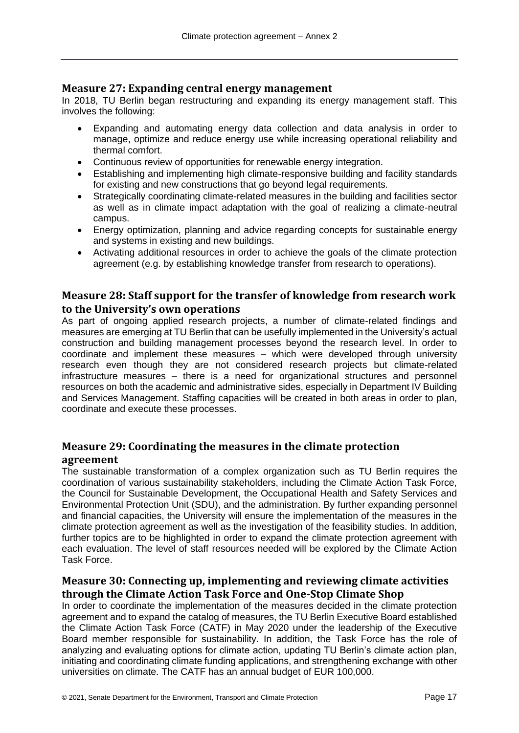#### <span id="page-26-0"></span>**Measure 27: Expanding central energy management**

In 2018, TU Berlin began restructuring and expanding its energy management staff. This involves the following:

- Expanding and automating energy data collection and data analysis in order to manage, optimize and reduce energy use while increasing operational reliability and thermal comfort.
- Continuous review of opportunities for renewable energy integration.
- Establishing and implementing high climate-responsive building and facility standards for existing and new constructions that go beyond legal requirements.
- Strategically coordinating climate-related measures in the building and facilities sector as well as in climate impact adaptation with the goal of realizing a climate-neutral campus.
- Energy optimization, planning and advice regarding concepts for sustainable energy and systems in existing and new buildings.
- Activating additional resources in order to achieve the goals of the climate protection agreement (e.g. by establishing knowledge transfer from research to operations).

#### <span id="page-26-1"></span>**Measure 28: Staff support for the transfer of knowledge from research work to the University's own operations**

As part of ongoing applied research projects, a number of climate-related findings and measures are emerging at TU Berlin that can be usefully implemented in the University's actual construction and building management processes beyond the research level. In order to coordinate and implement these measures – which were developed through university research even though they are not considered research projects but climate-related infrastructure measures – there is a need for organizational structures and personnel resources on both the academic and administrative sides, especially in Department IV Building and Services Management. Staffing capacities will be created in both areas in order to plan, coordinate and execute these processes.

#### <span id="page-26-2"></span>**Measure 29: Coordinating the measures in the climate protection agreement**

The sustainable transformation of a complex organization such as TU Berlin requires the coordination of various sustainability stakeholders, including the Climate Action Task Force, the Council for Sustainable Development, the Occupational Health and Safety Services and Environmental Protection Unit (SDU), and the administration. By further expanding personnel and financial capacities, the University will ensure the implementation of the measures in the climate protection agreement as well as the investigation of the feasibility studies. In addition, further topics are to be highlighted in order to expand the climate protection agreement with each evaluation. The level of staff resources needed will be explored by the Climate Action Task Force.

#### <span id="page-26-3"></span>**Measure 30: Connecting up, implementing and reviewing climate activities through the Climate Action Task Force and One-Stop Climate Shop**

In order to coordinate the implementation of the measures decided in the climate protection agreement and to expand the catalog of measures, the TU Berlin Executive Board established the Climate Action Task Force (CATF) in May 2020 under the leadership of the Executive Board member responsible for sustainability. In addition, the Task Force has the role of analyzing and evaluating options for climate action, updating TU Berlin's climate action plan, initiating and coordinating climate funding applications, and strengthening exchange with other universities on climate. The CATF has an annual budget of EUR 100,000.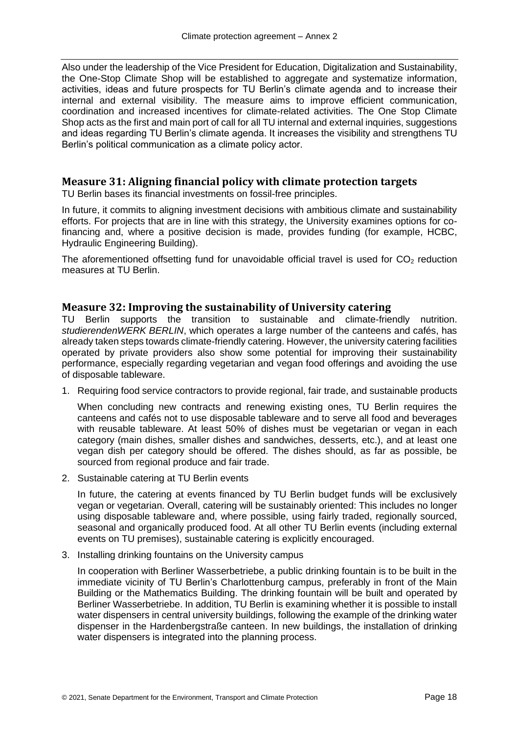Also under the leadership of the Vice President for Education, Digitalization and Sustainability, the One-Stop Climate Shop will be established to aggregate and systematize information, activities, ideas and future prospects for TU Berlin's climate agenda and to increase their internal and external visibility. The measure aims to improve efficient communication, coordination and increased incentives for climate-related activities. The One Stop Climate Shop acts as the first and main port of call for all TU internal and external inquiries, suggestions and ideas regarding TU Berlin's climate agenda. It increases the visibility and strengthens TU Berlin's political communication as a climate policy actor.

#### <span id="page-27-0"></span>**Measure 31: Aligning financial policy with climate protection targets**

TU Berlin bases its financial investments on fossil-free principles.

In future, it commits to aligning investment decisions with ambitious climate and sustainability efforts. For projects that are in line with this strategy, the University examines options for cofinancing and, where a positive decision is made, provides funding (for example, HCBC, Hydraulic Engineering Building).

The aforementioned offsetting fund for unavoidable official travel is used for  $CO<sub>2</sub>$  reduction measures at TU Berlin.

#### <span id="page-27-1"></span>**Measure 32: Improving the sustainability of University catering**

TU Berlin supports the transition to sustainable and climate-friendly nutrition. *studierendenWERK BERLIN*, which operates a large number of the canteens and cafés, has already taken steps towards climate-friendly catering. However, the university catering facilities operated by private providers also show some potential for improving their sustainability performance, especially regarding vegetarian and vegan food offerings and avoiding the use of disposable tableware.

1. Requiring food service contractors to provide regional, fair trade, and sustainable products

When concluding new contracts and renewing existing ones, TU Berlin requires the canteens and cafés not to use disposable tableware and to serve all food and beverages with reusable tableware. At least 50% of dishes must be vegetarian or vegan in each category (main dishes, smaller dishes and sandwiches, desserts, etc.), and at least one vegan dish per category should be offered. The dishes should, as far as possible, be sourced from regional produce and fair trade.

2. Sustainable catering at TU Berlin events

In future, the catering at events financed by TU Berlin budget funds will be exclusively vegan or vegetarian. Overall, catering will be sustainably oriented: This includes no longer using disposable tableware and, where possible, using fairly traded, regionally sourced, seasonal and organically produced food. At all other TU Berlin events (including external events on TU premises), sustainable catering is explicitly encouraged.

3. Installing drinking fountains on the University campus

In cooperation with Berliner Wasserbetriebe, a public drinking fountain is to be built in the immediate vicinity of TU Berlin's Charlottenburg campus, preferably in front of the Main Building or the Mathematics Building. The drinking fountain will be built and operated by Berliner Wasserbetriebe. In addition, TU Berlin is examining whether it is possible to install water dispensers in central university buildings, following the example of the drinking water dispenser in the Hardenbergstraße canteen. In new buildings, the installation of drinking water dispensers is integrated into the planning process.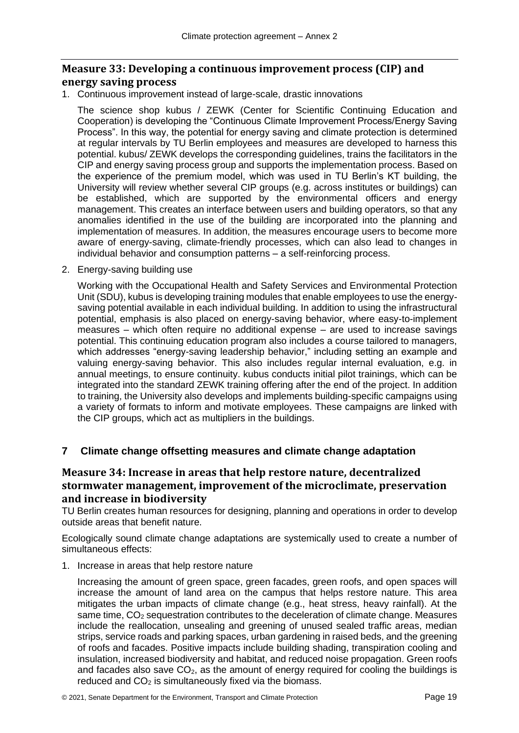#### <span id="page-28-0"></span>**Measure 33: Developing a continuous improvement process (CIP) and energy saving process**

1. Continuous improvement instead of large-scale, drastic innovations

The science shop kubus / ZEWK (Center for Scientific Continuing Education and Cooperation) is developing the "Continuous Climate Improvement Process/Energy Saving Process". In this way, the potential for energy saving and climate protection is determined at regular intervals by TU Berlin employees and measures are developed to harness this potential. kubus/ ZEWK develops the corresponding guidelines, trains the facilitators in the CIP and energy saving process group and supports the implementation process. Based on the experience of the premium model, which was used in TU Berlin's KT building, the University will review whether several CIP groups (e.g. across institutes or buildings) can be established, which are supported by the environmental officers and energy management. This creates an interface between users and building operators, so that any anomalies identified in the use of the building are incorporated into the planning and implementation of measures. In addition, the measures encourage users to become more aware of energy-saving, climate-friendly processes, which can also lead to changes in individual behavior and consumption patterns – a self-reinforcing process.

2. Energy-saving building use

Working with the Occupational Health and Safety Services and Environmental Protection Unit (SDU), kubus is developing training modules that enable employees to use the energysaving potential available in each individual building. In addition to using the infrastructural potential, emphasis is also placed on energy-saving behavior, where easy-to-implement measures – which often require no additional expense – are used to increase savings potential. This continuing education program also includes a course tailored to managers, which addresses "energy-saving leadership behavior," including setting an example and valuing energy-saving behavior. This also includes regular internal evaluation, e.g. in annual meetings, to ensure continuity. kubus conducts initial pilot trainings, which can be integrated into the standard ZEWK training offering after the end of the project. In addition to training, the University also develops and implements building-specific campaigns using a variety of formats to inform and motivate employees. These campaigns are linked with the CIP groups, which act as multipliers in the buildings.

#### <span id="page-28-1"></span>**7 Climate change offsetting measures and climate change adaptation**

#### <span id="page-28-2"></span>**Measure 34: Increase in areas that help restore nature, decentralized stormwater management, improvement of the microclimate, preservation and increase in biodiversity**

TU Berlin creates human resources for designing, planning and operations in order to develop outside areas that benefit nature.

Ecologically sound climate change adaptations are systemically used to create a number of simultaneous effects:

1. Increase in areas that help restore nature

Increasing the amount of green space, green facades, green roofs, and open spaces will increase the amount of land area on the campus that helps restore nature. This area mitigates the urban impacts of climate change (e.g., heat stress, heavy rainfall). At the same time,  $CO<sub>2</sub>$  sequestration contributes to the deceleration of climate change. Measures include the reallocation, unsealing and greening of unused sealed traffic areas, median strips, service roads and parking spaces, urban gardening in raised beds, and the greening of roofs and facades. Positive impacts include building shading, transpiration cooling and insulation, increased biodiversity and habitat, and reduced noise propagation. Green roofs and facades also save  $CO<sub>2</sub>$ , as the amount of energy required for cooling the buildings is reduced and  $CO<sub>2</sub>$  is simultaneously fixed via the biomass.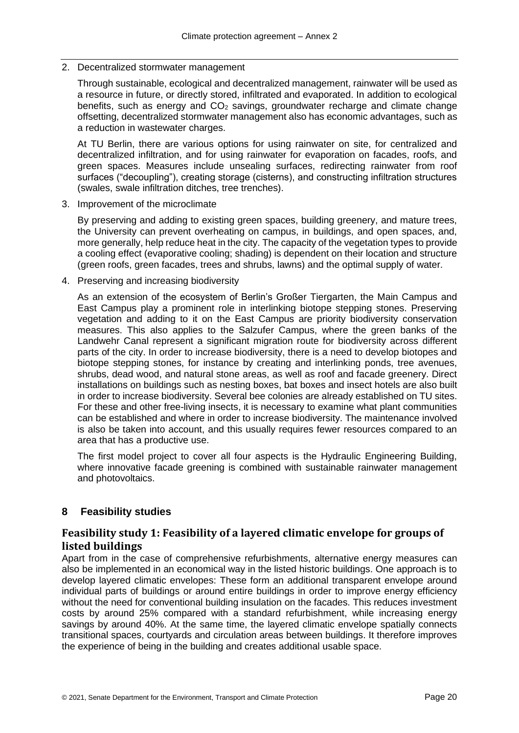#### 2. Decentralized stormwater management

Through sustainable, ecological and decentralized management, rainwater will be used as a resource in future, or directly stored, infiltrated and evaporated. In addition to ecological benefits, such as energy and  $CO<sub>2</sub>$  savings, groundwater recharge and climate change offsetting, decentralized stormwater management also has economic advantages, such as a reduction in wastewater charges.

At TU Berlin, there are various options for using rainwater on site, for centralized and decentralized infiltration, and for using rainwater for evaporation on facades, roofs, and green spaces. Measures include unsealing surfaces, redirecting rainwater from roof surfaces ("decoupling"), creating storage (cisterns), and constructing infiltration structures (swales, swale infiltration ditches, tree trenches).

3. Improvement of the microclimate

By preserving and adding to existing green spaces, building greenery, and mature trees, the University can prevent overheating on campus, in buildings, and open spaces, and, more generally, help reduce heat in the city. The capacity of the vegetation types to provide a cooling effect (evaporative cooling; shading) is dependent on their location and structure (green roofs, green facades, trees and shrubs, lawns) and the optimal supply of water.

4. Preserving and increasing biodiversity

As an extension of the ecosystem of Berlin's Großer Tiergarten, the Main Campus and East Campus play a prominent role in interlinking biotope stepping stones. Preserving vegetation and adding to it on the East Campus are priority biodiversity conservation measures. This also applies to the Salzufer Campus, where the green banks of the Landwehr Canal represent a significant migration route for biodiversity across different parts of the city. In order to increase biodiversity, there is a need to develop biotopes and biotope stepping stones, for instance by creating and interlinking ponds, tree avenues, shrubs, dead wood, and natural stone areas, as well as roof and facade greenery. Direct installations on buildings such as nesting boxes, bat boxes and insect hotels are also built in order to increase biodiversity. Several bee colonies are already established on TU sites. For these and other free-living insects, it is necessary to examine what plant communities can be established and where in order to increase biodiversity. The maintenance involved is also be taken into account, and this usually requires fewer resources compared to an area that has a productive use.

The first model project to cover all four aspects is the Hydraulic Engineering Building, where innovative facade greening is combined with sustainable rainwater management and photovoltaics.

#### <span id="page-29-0"></span>**8 Feasibility studies**

#### <span id="page-29-1"></span>**Feasibility study 1: Feasibility of a layered climatic envelope for groups of listed buildings**

Apart from in the case of comprehensive refurbishments, alternative energy measures can also be implemented in an economical way in the listed historic buildings. One approach is to develop layered climatic envelopes: These form an additional transparent envelope around individual parts of buildings or around entire buildings in order to improve energy efficiency without the need for conventional building insulation on the facades. This reduces investment costs by around 25% compared with a standard refurbishment, while increasing energy savings by around 40%. At the same time, the layered climatic envelope spatially connects transitional spaces, courtyards and circulation areas between buildings. It therefore improves the experience of being in the building and creates additional usable space.